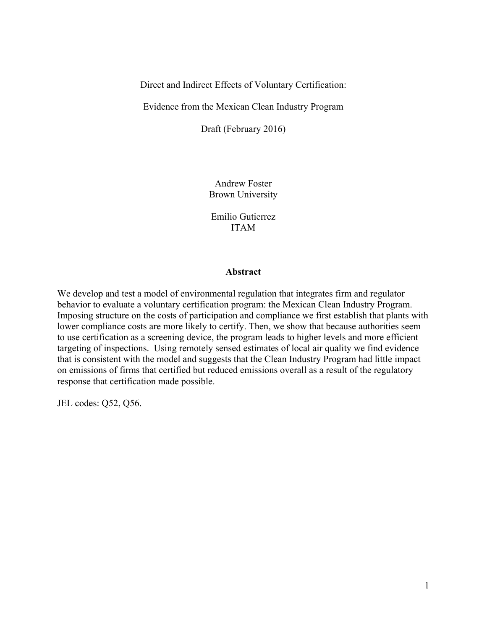Direct and Indirect Effects of Voluntary Certification:

Evidence from the Mexican Clean Industry Program

Draft (February 2016)

Andrew Foster Brown University

Emilio Gutierrez ITAM

# **Abstract**

We develop and test a model of environmental regulation that integrates firm and regulator behavior to evaluate a voluntary certification program: the Mexican Clean Industry Program. Imposing structure on the costs of participation and compliance we first establish that plants with lower compliance costs are more likely to certify. Then, we show that because authorities seem to use certification as a screening device, the program leads to higher levels and more efficient targeting of inspections. Using remotely sensed estimates of local air quality we find evidence that is consistent with the model and suggests that the Clean Industry Program had little impact on emissions of firms that certified but reduced emissions overall as a result of the regulatory response that certification made possible.

JEL codes: Q52, Q56.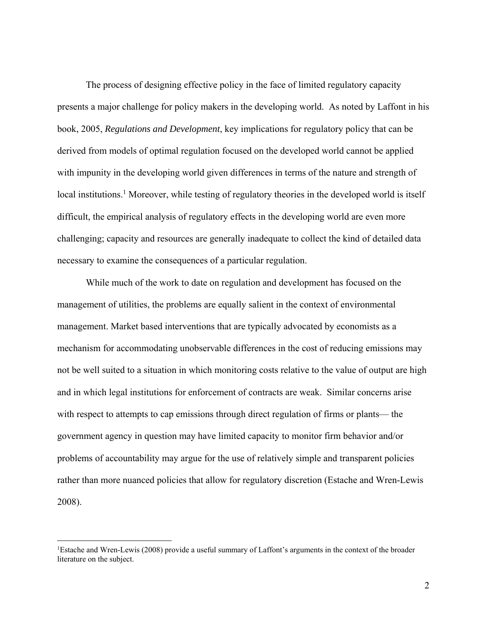The process of designing effective policy in the face of limited regulatory capacity presents a major challenge for policy makers in the developing world. As noted by Laffont in his book, 2005, *Regulations and Development*, key implications for regulatory policy that can be derived from models of optimal regulation focused on the developed world cannot be applied with impunity in the developing world given differences in terms of the nature and strength of local institutions.<sup>1</sup> Moreover, while testing of regulatory theories in the developed world is itself difficult, the empirical analysis of regulatory effects in the developing world are even more challenging; capacity and resources are generally inadequate to collect the kind of detailed data necessary to examine the consequences of a particular regulation.

While much of the work to date on regulation and development has focused on the management of utilities, the problems are equally salient in the context of environmental management. Market based interventions that are typically advocated by economists as a mechanism for accommodating unobservable differences in the cost of reducing emissions may not be well suited to a situation in which monitoring costs relative to the value of output are high and in which legal institutions for enforcement of contracts are weak. Similar concerns arise with respect to attempts to cap emissions through direct regulation of firms or plants— the government agency in question may have limited capacity to monitor firm behavior and/or problems of accountability may argue for the use of relatively simple and transparent policies rather than more nuanced policies that allow for regulatory discretion (Estache and Wren-Lewis 2008).

 $\overline{a}$ 

<sup>1</sup> Estache and Wren-Lewis (2008) provide a useful summary of Laffont's arguments in the context of the broader literature on the subject.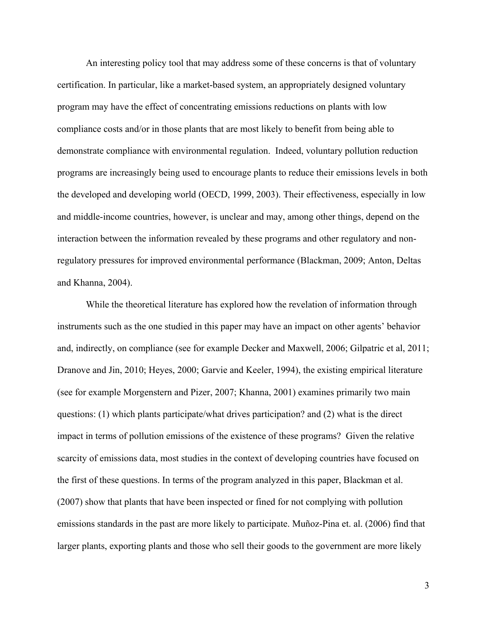An interesting policy tool that may address some of these concerns is that of voluntary certification. In particular, like a market-based system, an appropriately designed voluntary program may have the effect of concentrating emissions reductions on plants with low compliance costs and/or in those plants that are most likely to benefit from being able to demonstrate compliance with environmental regulation. Indeed, voluntary pollution reduction programs are increasingly being used to encourage plants to reduce their emissions levels in both the developed and developing world (OECD, 1999, 2003). Their effectiveness, especially in low and middle-income countries, however, is unclear and may, among other things, depend on the interaction between the information revealed by these programs and other regulatory and nonregulatory pressures for improved environmental performance (Blackman, 2009; Anton, Deltas and Khanna, 2004).

 While the theoretical literature has explored how the revelation of information through instruments such as the one studied in this paper may have an impact on other agents' behavior and, indirectly, on compliance (see for example Decker and Maxwell, 2006; Gilpatric et al, 2011; Dranove and Jin, 2010; Heyes, 2000; Garvie and Keeler, 1994), the existing empirical literature (see for example Morgenstern and Pizer, 2007; Khanna, 2001) examines primarily two main questions: (1) which plants participate/what drives participation? and (2) what is the direct impact in terms of pollution emissions of the existence of these programs? Given the relative scarcity of emissions data, most studies in the context of developing countries have focused on the first of these questions. In terms of the program analyzed in this paper, Blackman et al. (2007) show that plants that have been inspected or fined for not complying with pollution emissions standards in the past are more likely to participate. Muñoz-Pina et. al. (2006) find that larger plants, exporting plants and those who sell their goods to the government are more likely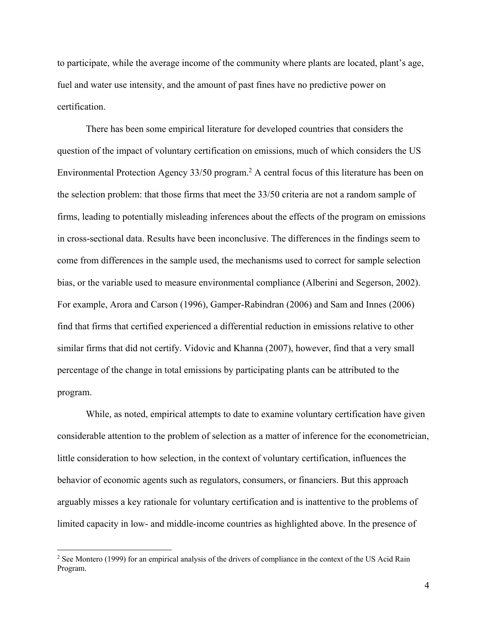to participate, while the average income of the community where plants are located, plant's age, fuel and water use intensity, and the amount of past fines have no predictive power on certification.

There has been some empirical literature for developed countries that considers the question of the impact of voluntary certification on emissions, much of which considers the US Environmental Protection Agency 33/50 program.<sup>2</sup> A central focus of this literature has been on the selection problem: that those firms that meet the 33/50 criteria are not a random sample of firms, leading to potentially misleading inferences about the effects of the program on emissions in cross-sectional data. Results have been inconclusive. The differences in the findings seem to come from differences in the sample used, the mechanisms used to correct for sample selection bias, or the variable used to measure environmental compliance (Alberini and Segerson, 2002). For example, Arora and Carson (1996), Gamper-Rabindran (2006) and Sam and Innes (2006) find that firms that certified experienced a differential reduction in emissions relative to other similar firms that did not certify. Vidovic and Khanna (2007), however, find that a very small percentage of the change in total emissions by participating plants can be attributed to the program.

While, as noted, empirical attempts to date to examine voluntary certification have given considerable attention to the problem of selection as a matter of inference for the econometrician, little consideration to how selection, in the context of voluntary certification, influences the behavior of economic agents such as regulators, consumers, or financiers. But this approach arguably misses a key rationale for voluntary certification and is inattentive to the problems of limited capacity in low- and middle-income countries as highlighted above. In the presence of

 $\overline{a}$ 

<sup>&</sup>lt;sup>2</sup> See Montero (1999) for an empirical analysis of the drivers of compliance in the context of the US Acid Rain Program.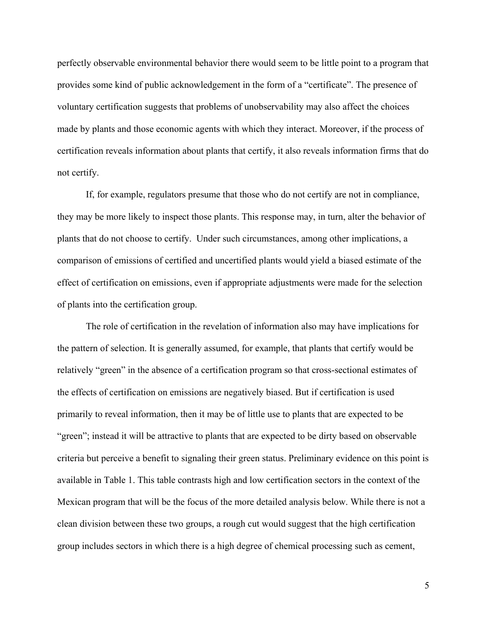perfectly observable environmental behavior there would seem to be little point to a program that provides some kind of public acknowledgement in the form of a "certificate". The presence of voluntary certification suggests that problems of unobservability may also affect the choices made by plants and those economic agents with which they interact. Moreover, if the process of certification reveals information about plants that certify, it also reveals information firms that do not certify.

If, for example, regulators presume that those who do not certify are not in compliance, they may be more likely to inspect those plants. This response may, in turn, alter the behavior of plants that do not choose to certify. Under such circumstances, among other implications, a comparison of emissions of certified and uncertified plants would yield a biased estimate of the effect of certification on emissions, even if appropriate adjustments were made for the selection of plants into the certification group.

 The role of certification in the revelation of information also may have implications for the pattern of selection. It is generally assumed, for example, that plants that certify would be relatively "green" in the absence of a certification program so that cross-sectional estimates of the effects of certification on emissions are negatively biased. But if certification is used primarily to reveal information, then it may be of little use to plants that are expected to be "green"; instead it will be attractive to plants that are expected to be dirty based on observable criteria but perceive a benefit to signaling their green status. Preliminary evidence on this point is available in Table 1. This table contrasts high and low certification sectors in the context of the Mexican program that will be the focus of the more detailed analysis below. While there is not a clean division between these two groups, a rough cut would suggest that the high certification group includes sectors in which there is a high degree of chemical processing such as cement,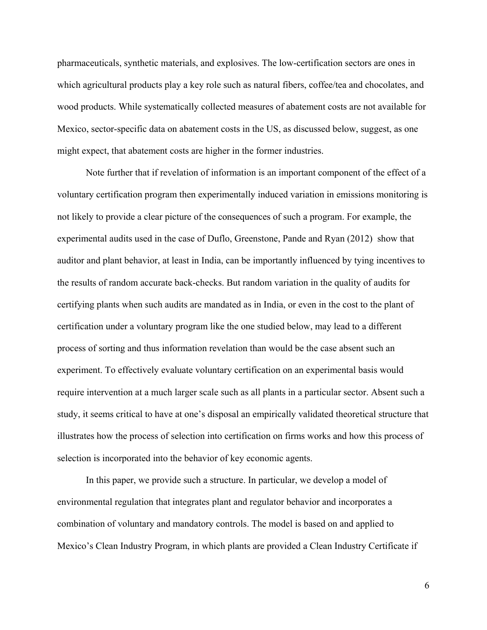pharmaceuticals, synthetic materials, and explosives. The low-certification sectors are ones in which agricultural products play a key role such as natural fibers, coffee/tea and chocolates, and wood products. While systematically collected measures of abatement costs are not available for Mexico, sector-specific data on abatement costs in the US, as discussed below, suggest, as one might expect, that abatement costs are higher in the former industries.

 Note further that if revelation of information is an important component of the effect of a voluntary certification program then experimentally induced variation in emissions monitoring is not likely to provide a clear picture of the consequences of such a program. For example, the experimental audits used in the case of Duflo, Greenstone, Pande and Ryan (2012) show that auditor and plant behavior, at least in India, can be importantly influenced by tying incentives to the results of random accurate back-checks. But random variation in the quality of audits for certifying plants when such audits are mandated as in India, or even in the cost to the plant of certification under a voluntary program like the one studied below, may lead to a different process of sorting and thus information revelation than would be the case absent such an experiment. To effectively evaluate voluntary certification on an experimental basis would require intervention at a much larger scale such as all plants in a particular sector. Absent such a study, it seems critical to have at one's disposal an empirically validated theoretical structure that illustrates how the process of selection into certification on firms works and how this process of selection is incorporated into the behavior of key economic agents.

 In this paper, we provide such a structure. In particular, we develop a model of environmental regulation that integrates plant and regulator behavior and incorporates a combination of voluntary and mandatory controls. The model is based on and applied to Mexico's Clean Industry Program, in which plants are provided a Clean Industry Certificate if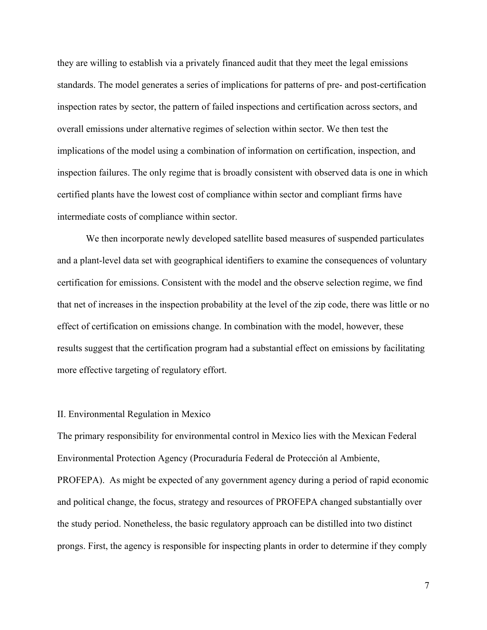they are willing to establish via a privately financed audit that they meet the legal emissions standards. The model generates a series of implications for patterns of pre- and post-certification inspection rates by sector, the pattern of failed inspections and certification across sectors, and overall emissions under alternative regimes of selection within sector. We then test the implications of the model using a combination of information on certification, inspection, and inspection failures. The only regime that is broadly consistent with observed data is one in which certified plants have the lowest cost of compliance within sector and compliant firms have intermediate costs of compliance within sector.

 We then incorporate newly developed satellite based measures of suspended particulates and a plant-level data set with geographical identifiers to examine the consequences of voluntary certification for emissions. Consistent with the model and the observe selection regime, we find that net of increases in the inspection probability at the level of the zip code, there was little or no effect of certification on emissions change. In combination with the model, however, these results suggest that the certification program had a substantial effect on emissions by facilitating more effective targeting of regulatory effort.

#### II. Environmental Regulation in Mexico

The primary responsibility for environmental control in Mexico lies with the Mexican Federal Environmental Protection Agency (Procuraduría Federal de Protección al Ambiente, PROFEPA). As might be expected of any government agency during a period of rapid economic and political change, the focus, strategy and resources of PROFEPA changed substantially over the study period. Nonetheless, the basic regulatory approach can be distilled into two distinct prongs. First, the agency is responsible for inspecting plants in order to determine if they comply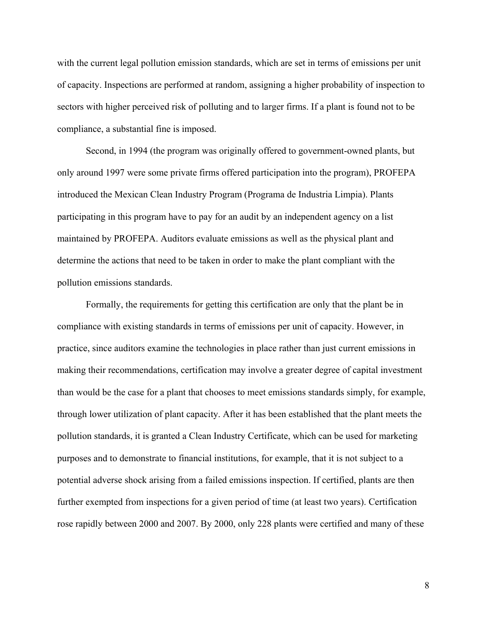with the current legal pollution emission standards, which are set in terms of emissions per unit of capacity. Inspections are performed at random, assigning a higher probability of inspection to sectors with higher perceived risk of polluting and to larger firms. If a plant is found not to be compliance, a substantial fine is imposed.

 Second, in 1994 (the program was originally offered to government-owned plants, but only around 1997 were some private firms offered participation into the program), PROFEPA introduced the Mexican Clean Industry Program (Programa de Industria Limpia). Plants participating in this program have to pay for an audit by an independent agency on a list maintained by PROFEPA. Auditors evaluate emissions as well as the physical plant and determine the actions that need to be taken in order to make the plant compliant with the pollution emissions standards.

Formally, the requirements for getting this certification are only that the plant be in compliance with existing standards in terms of emissions per unit of capacity. However, in practice, since auditors examine the technologies in place rather than just current emissions in making their recommendations, certification may involve a greater degree of capital investment than would be the case for a plant that chooses to meet emissions standards simply, for example, through lower utilization of plant capacity. After it has been established that the plant meets the pollution standards, it is granted a Clean Industry Certificate, which can be used for marketing purposes and to demonstrate to financial institutions, for example, that it is not subject to a potential adverse shock arising from a failed emissions inspection. If certified, plants are then further exempted from inspections for a given period of time (at least two years). Certification rose rapidly between 2000 and 2007. By 2000, only 228 plants were certified and many of these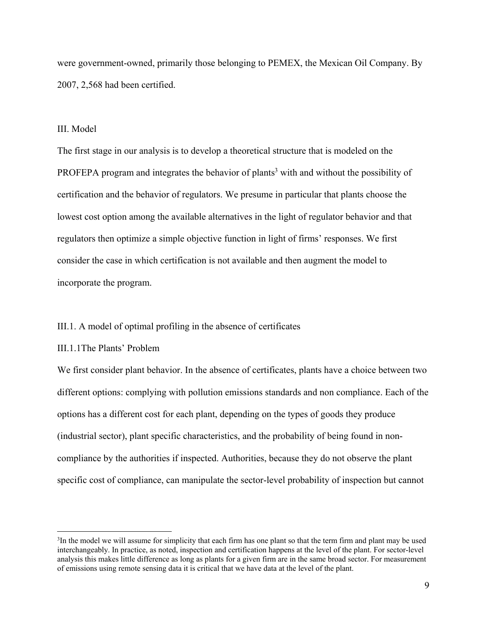were government-owned, primarily those belonging to PEMEX, the Mexican Oil Company. By 2007, 2,568 had been certified.

#### III. Model

The first stage in our analysis is to develop a theoretical structure that is modeled on the PROFEPA program and integrates the behavior of plants<sup>3</sup> with and without the possibility of certification and the behavior of regulators. We presume in particular that plants choose the lowest cost option among the available alternatives in the light of regulator behavior and that regulators then optimize a simple objective function in light of firms' responses. We first consider the case in which certification is not available and then augment the model to incorporate the program.

## III.1. A model of optimal profiling in the absence of certificates

#### III.1.1The Plants' Problem

 $\overline{a}$ 

We first consider plant behavior. In the absence of certificates, plants have a choice between two different options: complying with pollution emissions standards and non compliance. Each of the options has a different cost for each plant, depending on the types of goods they produce (industrial sector), plant specific characteristics, and the probability of being found in noncompliance by the authorities if inspected. Authorities, because they do not observe the plant specific cost of compliance, can manipulate the sector-level probability of inspection but cannot

<sup>&</sup>lt;sup>3</sup>In the model we will assume for simplicity that each firm has one plant so that the term firm and plant may be used interchangeably. In practice, as noted, inspection and certification happens at the level of the plant. For sector-level analysis this makes little difference as long as plants for a given firm are in the same broad sector. For measurement of emissions using remote sensing data it is critical that we have data at the level of the plant.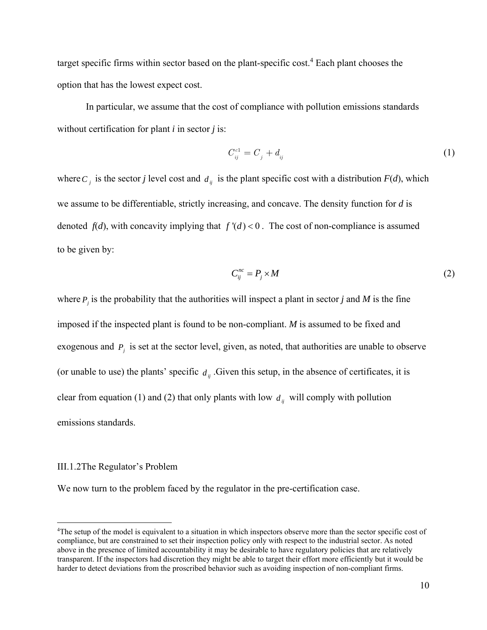target specific firms within sector based on the plant-specific cost.<sup>4</sup> Each plant chooses the option that has the lowest expect cost.

In particular, we assume that the cost of compliance with pollution emissions standards without certification for plant *i* in sector *j* is:

$$
C_{ij}^{c1} = C_j + d_{ij} \tag{1}
$$

where  $C_i$  is the sector *j* level cost and  $d_{ii}$  is the plant specific cost with a distribution  $F(d)$ , which we assume to be differentiable, strictly increasing, and concave. The density function for *d* is denoted  $f(d)$ , with concavity implying that  $f'(d) < 0$ . The cost of non-compliance is assumed to be given by:

$$
C_{ij}^{nc} = P_j \times M \tag{2}
$$

where  $P_j$  is the probability that the authorities will inspect a plant in sector *j* and *M* is the fine imposed if the inspected plant is found to be non-compliant. *M* is assumed to be fixed and exogenous and  $P_i$  is set at the sector level, given, as noted, that authorities are unable to observe (or unable to use) the plants' specific  $d_{ij}$ . Given this setup, in the absence of certificates, it is clear from equation (1) and (2) that only plants with low  $d_{ij}$  will comply with pollution emissions standards.

#### III.1.2The Regulator's Problem

 $\overline{a}$ 

We now turn to the problem faced by the regulator in the pre-certification case.

<sup>4</sup> The setup of the model is equivalent to a situation in which inspectors observe more than the sector specific cost of compliance, but are constrained to set their inspection policy only with respect to the industrial sector. As noted above in the presence of limited accountability it may be desirable to have regulatory policies that are relatively transparent. If the inspectors had discretion they might be able to target their effort more efficiently but it would be harder to detect deviations from the proscribed behavior such as avoiding inspection of non-compliant firms.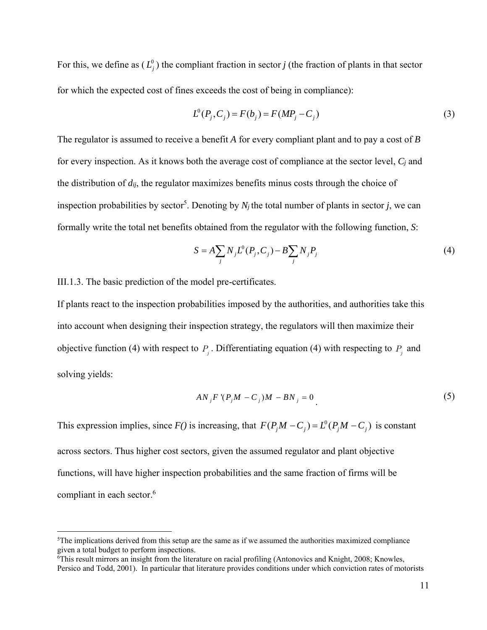For this, we define as  $(L_j^0)$  the compliant fraction in sector *j* (the fraction of plants in that sector for which the expected cost of fines exceeds the cost of being in compliance):

$$
L^{0}(P_{j}, C_{j}) = F(b_{j}) = F(MP_{j} - C_{j})
$$
\n(3)

The regulator is assumed to receive a benefit *A* for every compliant plant and to pay a cost of *B* for every inspection. As it knows both the average cost of compliance at the sector level, *Cj* and the distribution of *dij*, the regulator maximizes benefits minus costs through the choice of inspection probabilities by sector<sup>5</sup>. Denoting by  $N_j$  the total number of plants in sector *j*, we can formally write the total net benefits obtained from the regulator with the following function, *S*:

$$
S = A \sum_{j} N_{j} L^{0}(P_{j}, C_{j}) - B \sum_{j} N_{j} P_{j}
$$
 (4)

III.1.3. The basic prediction of the model pre-certificates.

<u>.</u>

If plants react to the inspection probabilities imposed by the authorities, and authorities take this into account when designing their inspection strategy, the regulators will then maximize their objective function (4) with respect to  $P_i$ . Differentiating equation (4) with respecting to  $P_i$  and solving yields:

$$
AN_jF'(P_jM - C_j)M - BN_j = 0
$$
\n<sup>(5)</sup>

This expression implies, since  $F()$  is increasing, that  $F(P_jM - C_j) = L^0(P_jM - C_j)$  is constant across sectors. Thus higher cost sectors, given the assumed regulator and plant objective functions, will have higher inspection probabilities and the same fraction of firms will be compliant in each sector.<sup>6</sup>

 $5$ The implications derived from this setup are the same as if we assumed the authorities maximized compliance given a total budget to perform inspections.

<sup>6</sup> This result mirrors an insight from the literature on racial profiling (Antonovics and Knight, 2008; Knowles, Persico and Todd, 2001). In particular that literature provides conditions under which conviction rates of motorists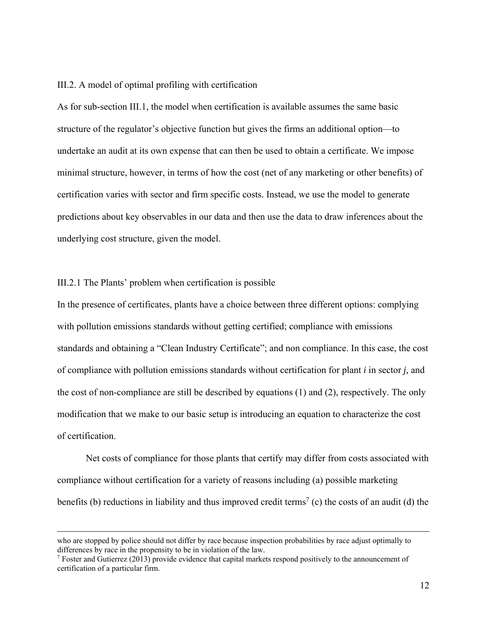# III.2. A model of optimal profiling with certification

As for sub-section III.1, the model when certification is available assumes the same basic structure of the regulator's objective function but gives the firms an additional option—to undertake an audit at its own expense that can then be used to obtain a certificate. We impose minimal structure, however, in terms of how the cost (net of any marketing or other benefits) of certification varies with sector and firm specific costs. Instead, we use the model to generate predictions about key observables in our data and then use the data to draw inferences about the underlying cost structure, given the model.

### III.2.1 The Plants' problem when certification is possible

In the presence of certificates, plants have a choice between three different options: complying with pollution emissions standards without getting certified; compliance with emissions standards and obtaining a "Clean Industry Certificate"; and non compliance. In this case, the cost of compliance with pollution emissions standards without certification for plant *i* in sector *j,* and the cost of non-compliance are still be described by equations (1) and (2), respectively. The only modification that we make to our basic setup is introducing an equation to characterize the cost of certification.

 Net costs of compliance for those plants that certify may differ from costs associated with compliance without certification for a variety of reasons including (a) possible marketing benefits (b) reductions in liability and thus improved credit terms<sup>7</sup> (c) the costs of an audit (d) the

who are stopped by police should not differ by race because inspection probabilities by race adjust optimally to differences by race in the propensity to be in violation of the law.

 $\frac{7}{7}$  Foster and Gutierrez (2013) provide evidence that capital markets respond positively to the announcement of certification of a particular firm.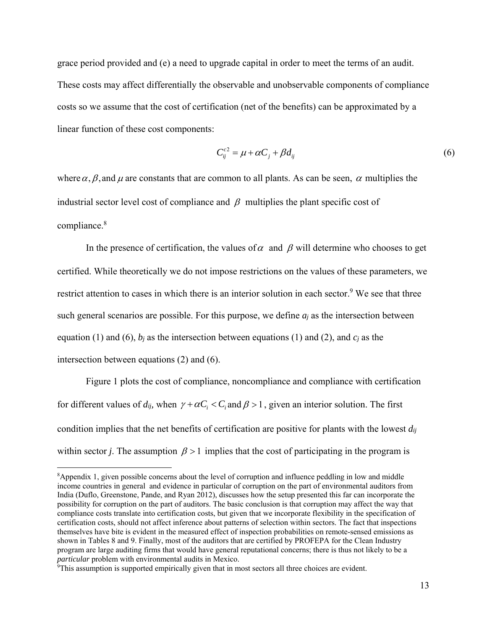grace period provided and (e) a need to upgrade capital in order to meet the terms of an audit. These costs may affect differentially the observable and unobservable components of compliance costs so we assume that the cost of certification (net of the benefits) can be approximated by a linear function of these cost components:

$$
C_{ij}^{c2} = \mu + \alpha C_j + \beta d_{ij} \tag{6}
$$

where  $\alpha$ ,  $\beta$ , and  $\mu$  are constants that are common to all plants. As can be seen,  $\alpha$  multiplies the industrial sector level cost of compliance and  $\beta$  multiplies the plant specific cost of compliance.<sup>8</sup>

In the presence of certification, the values of  $\alpha$  and  $\beta$  will determine who chooses to get certified. While theoretically we do not impose restrictions on the values of these parameters, we restrict attention to cases in which there is an interior solution in each sector.<sup>9</sup> We see that three such general scenarios are possible. For this purpose, we define *aj* as the intersection between equation (1) and (6),  $b_i$  as the intersection between equations (1) and (2), and  $c_i$  as the intersection between equations (2) and (6).

Figure 1 plots the cost of compliance, noncompliance and compliance with certification for different values of  $d_{ij}$ , when  $\gamma + \alpha C_i < C_i$  and  $\beta > 1$ , given an interior solution. The first condition implies that the net benefits of certification are positive for plants with the lowest *dij* within sector *j*. The assumption  $\beta > 1$  implies that the cost of participating in the program is

 $\overline{a}$ 

<sup>8</sup> Appendix 1, given possible concerns about the level of corruption and influence peddling in low and middle income countries in general and evidence in particular of corruption on the part of environmental auditors from India (Duflo, Greenstone, Pande, and Ryan 2012), discusses how the setup presented this far can incorporate the possibility for corruption on the part of auditors. The basic conclusion is that corruption may affect the way that compliance costs translate into certification costs, but given that we incorporate flexibility in the specification of certification costs, should not affect inference about patterns of selection within sectors. The fact that inspections themselves have bite is evident in the measured effect of inspection probabilities on remote-sensed emissions as shown in Tables 8 and 9. Finally, most of the auditors that are certified by PROFEPA for the Clean Industry program are large auditing firms that would have general reputational concerns; there is thus not likely to be a *particular* problem with environmental audits in Mexico.

<sup>9</sup> This assumption is supported empirically given that in most sectors all three choices are evident.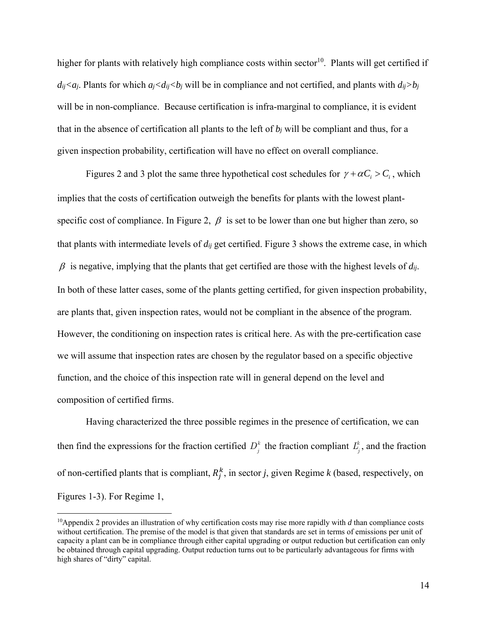higher for plants with relatively high compliance costs within sector<sup>10</sup>. Plants will get certified if  $di$ <sub>*j<aj*. Plants for which  $a_j$ < $d_{ij}$  < $b_j$  will be in compliance and not certified, and plants with  $d_{ij}$ > $b_j$ </sub> will be in non-compliance. Because certification is infra-marginal to compliance, it is evident that in the absence of certification all plants to the left of  $b_j$  will be compliant and thus, for a given inspection probability, certification will have no effect on overall compliance.

Figures 2 and 3 plot the same three hypothetical cost schedules for  $\gamma + \alpha C_i > C_i$ , which implies that the costs of certification outweigh the benefits for plants with the lowest plantspecific cost of compliance. In Figure 2,  $\beta$  is set to be lower than one but higher than zero, so that plants with intermediate levels of *dij* get certified. Figure 3 shows the extreme case, in which  $\beta$  is negative, implying that the plants that get certified are those with the highest levels of  $d_{ij}$ . In both of these latter cases, some of the plants getting certified, for given inspection probability, are plants that, given inspection rates, would not be compliant in the absence of the program. However, the conditioning on inspection rates is critical here. As with the pre-certification case we will assume that inspection rates are chosen by the regulator based on a specific objective function, and the choice of this inspection rate will in general depend on the level and composition of certified firms.

Having characterized the three possible regimes in the presence of certification, we can then find the expressions for the fraction certified  $D_j^k$  the fraction compliant  $L_j^k$ , and the fraction of non-certified plants that is compliant,  $R_j^k$ , in sector *j*, given Regime *k* (based, respectively, on Figures 1-3). For Regime 1,

 $\overline{a}$ 

<sup>10</sup>Appendix 2 provides an illustration of why certification costs may rise more rapidly with *d* than compliance costs without certification. The premise of the model is that given that standards are set in terms of emissions per unit of capacity a plant can be in compliance through either capital upgrading or output reduction but certification can only be obtained through capital upgrading. Output reduction turns out to be particularly advantageous for firms with high shares of "dirty" capital.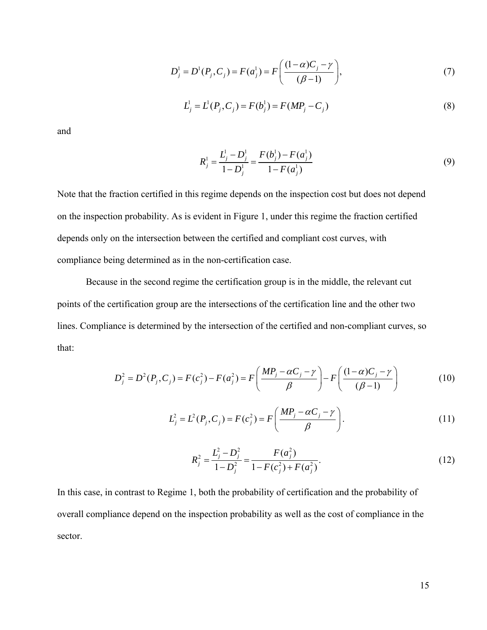$$
D_j^1 = D^1(P_j, C_j) = F(a_j^1) = F\left(\frac{(1-\alpha)C_j - \gamma}{(\beta - 1)}\right),\tag{7}
$$

$$
L_j^1 = L^1(P_j, C_j) = F(b_j^1) = F(MP_j - C_j)
$$
\n(8)

and

$$
R_j^1 = \frac{L_j^1 - D_j^1}{1 - D_j^1} = \frac{F(b_j^1) - F(a_j^1)}{1 - F(a_j^1)}
$$
(9)

Note that the fraction certified in this regime depends on the inspection cost but does not depend on the inspection probability. As is evident in Figure 1, under this regime the fraction certified depends only on the intersection between the certified and compliant cost curves, with compliance being determined as in the non-certification case.

Because in the second regime the certification group is in the middle, the relevant cut points of the certification group are the intersections of the certification line and the other two lines. Compliance is determined by the intersection of the certified and non-compliant curves, so that:

$$
D_j^2 = D^2(P_j, C_j) = F(c_j^2) - F(a_j^2) = F\left(\frac{MP_j - \alpha C_j - \gamma}{\beta}\right) - F\left(\frac{(1 - \alpha)C_j - \gamma}{(\beta - 1)}\right)
$$
(10)

$$
L_j^2 = L^2(P_j, C_j) = F(c_j^2) = F\left(\frac{MP_j - \alpha C_j - \gamma}{\beta}\right).
$$
 (11)

$$
R_j^2 = \frac{L_j^2 - D_j^2}{1 - D_j^2} = \frac{F(a_j^2)}{1 - F(c_j^2) + F(a_j^2)}.
$$
\n(12)

In this case, in contrast to Regime 1, both the probability of certification and the probability of overall compliance depend on the inspection probability as well as the cost of compliance in the sector.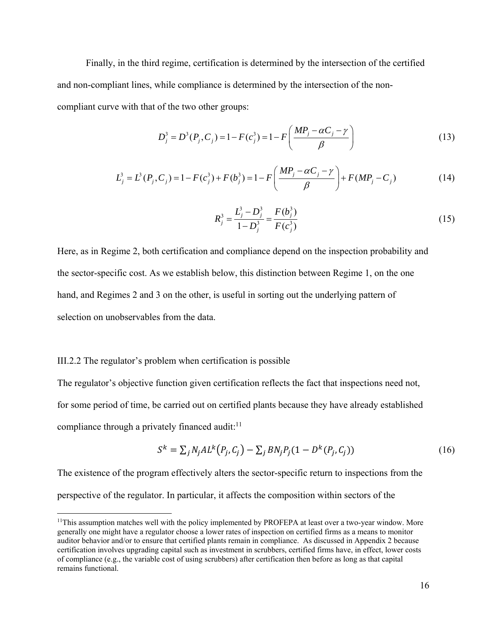Finally, in the third regime, certification is determined by the intersection of the certified and non-compliant lines, while compliance is determined by the intersection of the noncompliant curve with that of the two other groups:

$$
D_j^3 = D^3(P_j, C_j) = 1 - F(c_j^3) = 1 - F\left(\frac{MP_j - \alpha C_j - \gamma}{\beta}\right)
$$
\n(13)

$$
L_j^3 = L^3(P_j, C_j) = 1 - F(c_j^3) + F(b_j^3) = 1 - F\left(\frac{MP_j - \alpha C_j - \gamma}{\beta}\right) + F(MP_j - C_j)
$$
(14)

$$
R_j^3 = \frac{L_j^3 - D_j^3}{1 - D_j^3} = \frac{F(b_j^3)}{F(c_j^3)}
$$
\n(15)

Here, as in Regime 2, both certification and compliance depend on the inspection probability and the sector-specific cost. As we establish below, this distinction between Regime 1, on the one hand, and Regimes 2 and 3 on the other, is useful in sorting out the underlying pattern of selection on unobservables from the data.

#### III.2.2 The regulator's problem when certification is possible

 $\overline{a}$ 

The regulator's objective function given certification reflects the fact that inspections need not, for some period of time, be carried out on certified plants because they have already established compliance through a privately financed audit: $11$ 

$$
S^{k} = \sum_{j} N_{j} A L^{k} (P_{j}, C_{j}) - \sum_{j} B N_{j} P_{j} (1 - D^{k} (P_{j}, C_{j}))
$$
\n(16)

The existence of the program effectively alters the sector-specific return to inspections from the perspective of the regulator. In particular, it affects the composition within sectors of the

<sup>&</sup>lt;sup>11</sup>This assumption matches well with the policy implemented by PROFEPA at least over a two-year window. More generally one might have a regulator choose a lower rates of inspection on certified firms as a means to monitor auditor behavior and/or to ensure that certified plants remain in compliance. As discussed in Appendix 2 because certification involves upgrading capital such as investment in scrubbers, certified firms have, in effect, lower costs of compliance (e.g., the variable cost of using scrubbers) after certification then before as long as that capital remains functional.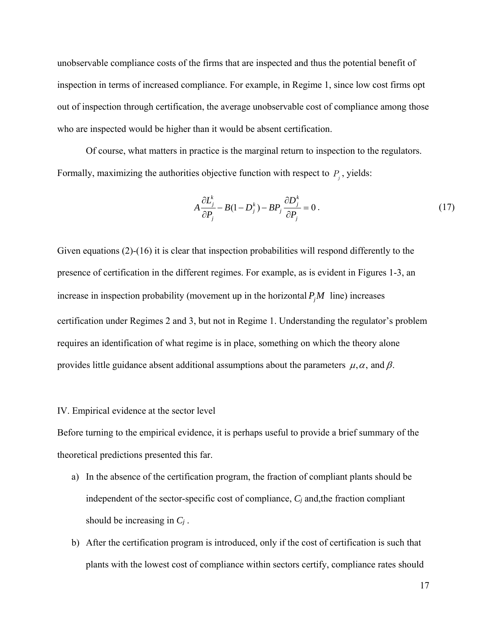unobservable compliance costs of the firms that are inspected and thus the potential benefit of inspection in terms of increased compliance. For example, in Regime 1, since low cost firms opt out of inspection through certification, the average unobservable cost of compliance among those who are inspected would be higher than it would be absent certification.

 Of course, what matters in practice is the marginal return to inspection to the regulators. Formally, maximizing the authorities objective function with respect to  $P_j$ , yields:

$$
A\frac{\partial L_j^k}{\partial P_j} - B(1 - D_j^k) - BP_j \frac{\partial D_j^k}{\partial P_j} = 0.
$$
\n(17)

Given equations (2)-(16) it is clear that inspection probabilities will respond differently to the presence of certification in the different regimes. For example, as is evident in Figures 1-3, an increase in inspection probability (movement up in the horizontal  $P_jM$  line) increases certification under Regimes 2 and 3, but not in Regime 1. Understanding the regulator's problem requires an identification of what regime is in place, something on which the theory alone provides little guidance absent additional assumptions about the parameters  $\mu, \alpha$ , and  $\beta$ .

### IV. Empirical evidence at the sector level

Before turning to the empirical evidence, it is perhaps useful to provide a brief summary of the theoretical predictions presented this far.

- a) In the absence of the certification program, the fraction of compliant plants should be independent of the sector-specific cost of compliance, *Cj* and,the fraction compliant should be increasing in *Cj* .
- b) After the certification program is introduced, only if the cost of certification is such that plants with the lowest cost of compliance within sectors certify, compliance rates should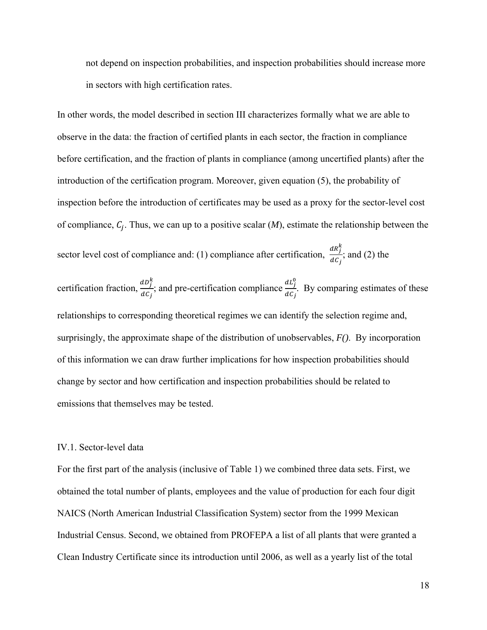not depend on inspection probabilities, and inspection probabilities should increase more in sectors with high certification rates.

In other words, the model described in section III characterizes formally what we are able to observe in the data: the fraction of certified plants in each sector, the fraction in compliance before certification, and the fraction of plants in compliance (among uncertified plants) after the introduction of the certification program. Moreover, given equation (5), the probability of inspection before the introduction of certificates may be used as a proxy for the sector-level cost of compliance,  $C_i$ . Thus, we can up to a positive scalar  $(M)$ , estimate the relationship between the sector level cost of compliance and: (1) compliance after certification,  $\frac{dR_f^k}{dG}$  $\frac{dln f}{dC_i}$ ; and (2) the certification fraction,  $\frac{dD_f^k}{d\Omega}$  $\frac{dD_j^k}{dC_j}$ ; and pre-certification compliance  $\frac{dL_j^0}{dC_j}$  $rac{a_{ij}}{dc_{j}}$ . By comparing estimates of these relationships to corresponding theoretical regimes we can identify the selection regime and, surprisingly, the approximate shape of the distribution of unobservables, *F()*. By incorporation of this information we can draw further implications for how inspection probabilities should change by sector and how certification and inspection probabilities should be related to emissions that themselves may be tested.

# IV.1. Sector-level data

For the first part of the analysis (inclusive of Table 1) we combined three data sets. First, we obtained the total number of plants, employees and the value of production for each four digit NAICS (North American Industrial Classification System) sector from the 1999 Mexican Industrial Census. Second, we obtained from PROFEPA a list of all plants that were granted a Clean Industry Certificate since its introduction until 2006, as well as a yearly list of the total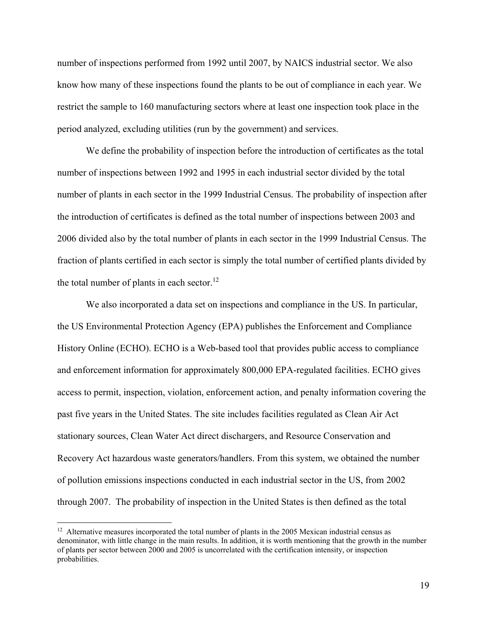number of inspections performed from 1992 until 2007, by NAICS industrial sector. We also know how many of these inspections found the plants to be out of compliance in each year. We restrict the sample to 160 manufacturing sectors where at least one inspection took place in the period analyzed, excluding utilities (run by the government) and services.

We define the probability of inspection before the introduction of certificates as the total number of inspections between 1992 and 1995 in each industrial sector divided by the total number of plants in each sector in the 1999 Industrial Census. The probability of inspection after the introduction of certificates is defined as the total number of inspections between 2003 and 2006 divided also by the total number of plants in each sector in the 1999 Industrial Census. The fraction of plants certified in each sector is simply the total number of certified plants divided by the total number of plants in each sector.<sup>12</sup>

We also incorporated a data set on inspections and compliance in the US. In particular, the US Environmental Protection Agency (EPA) publishes the Enforcement and Compliance History Online (ECHO). ECHO is a Web-based tool that provides public access to compliance and enforcement information for approximately 800,000 EPA-regulated facilities. ECHO gives access to permit, inspection, violation, enforcement action, and penalty information covering the past five years in the United States. The site includes facilities regulated as Clean Air Act stationary sources, Clean Water Act direct dischargers, and Resource Conservation and Recovery Act hazardous waste generators/handlers. From this system, we obtained the number of pollution emissions inspections conducted in each industrial sector in the US, from 2002 through 2007. The probability of inspection in the United States is then defined as the total

 $\overline{a}$ 

 $12$  Alternative measures incorporated the total number of plants in the 2005 Mexican industrial census as denominator, with little change in the main results. In addition, it is worth mentioning that the growth in the number of plants per sector between 2000 and 2005 is uncorrelated with the certification intensity, or inspection probabilities.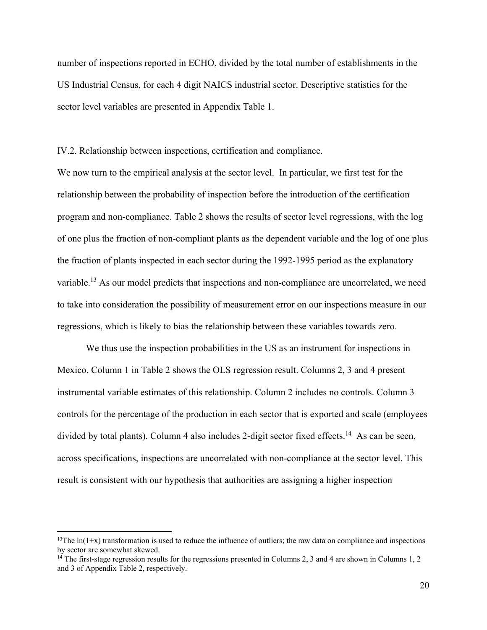number of inspections reported in ECHO, divided by the total number of establishments in the US Industrial Census, for each 4 digit NAICS industrial sector. Descriptive statistics for the sector level variables are presented in Appendix Table 1.

IV.2. Relationship between inspections, certification and compliance.

We now turn to the empirical analysis at the sector level. In particular, we first test for the relationship between the probability of inspection before the introduction of the certification program and non-compliance. Table 2 shows the results of sector level regressions, with the log of one plus the fraction of non-compliant plants as the dependent variable and the log of one plus the fraction of plants inspected in each sector during the 1992-1995 period as the explanatory variable.<sup>13</sup> As our model predicts that inspections and non-compliance are uncorrelated, we need to take into consideration the possibility of measurement error on our inspections measure in our regressions, which is likely to bias the relationship between these variables towards zero.

 We thus use the inspection probabilities in the US as an instrument for inspections in Mexico. Column 1 in Table 2 shows the OLS regression result. Columns 2, 3 and 4 present instrumental variable estimates of this relationship. Column 2 includes no controls. Column 3 controls for the percentage of the production in each sector that is exported and scale (employees divided by total plants). Column 4 also includes 2-digit sector fixed effects.<sup>14</sup> As can be seen, across specifications, inspections are uncorrelated with non-compliance at the sector level. This result is consistent with our hypothesis that authorities are assigning a higher inspection

 $\overline{a}$ 

<sup>&</sup>lt;sup>13</sup>The  $ln(1+x)$  transformation is used to reduce the influence of outliers; the raw data on compliance and inspections by sector are somewhat skewed.

 $14$  The first-stage regression results for the regressions presented in Columns 2, 3 and 4 are shown in Columns 1, 2 and 3 of Appendix Table 2, respectively.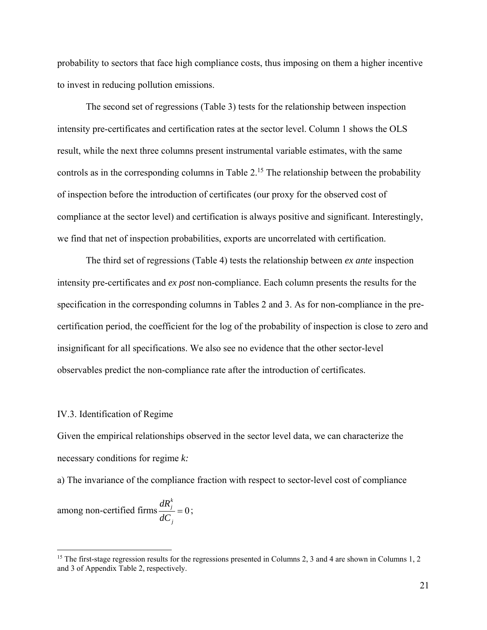probability to sectors that face high compliance costs, thus imposing on them a higher incentive to invest in reducing pollution emissions.

 The second set of regressions (Table 3) tests for the relationship between inspection intensity pre-certificates and certification rates at the sector level. Column 1 shows the OLS result, while the next three columns present instrumental variable estimates, with the same controls as in the corresponding columns in Table  $2<sup>15</sup>$ . The relationship between the probability of inspection before the introduction of certificates (our proxy for the observed cost of compliance at the sector level) and certification is always positive and significant. Interestingly, we find that net of inspection probabilities, exports are uncorrelated with certification.

 The third set of regressions (Table 4) tests the relationship between *ex ante* inspection intensity pre-certificates and *ex post* non-compliance. Each column presents the results for the specification in the corresponding columns in Tables 2 and 3. As for non-compliance in the precertification period, the coefficient for the log of the probability of inspection is close to zero and insignificant for all specifications. We also see no evidence that the other sector-level observables predict the non-compliance rate after the introduction of certificates.

#### IV.3. Identification of Regime

Given the empirical relationships observed in the sector level data, we can characterize the necessary conditions for regime *k:* 

a) The invariance of the compliance fraction with respect to sector-level cost of compliance

among non-certified firms  $\frac{m y}{\sqrt{2}} = 0$ *k j j dR*  $\frac{dC_i}{dC_i} = 0$ ;

<sup>&</sup>lt;sup>15</sup> The first-stage regression results for the regressions presented in Columns 2, 3 and 4 are shown in Columns 1, 2 and 3 of Appendix Table 2, respectively.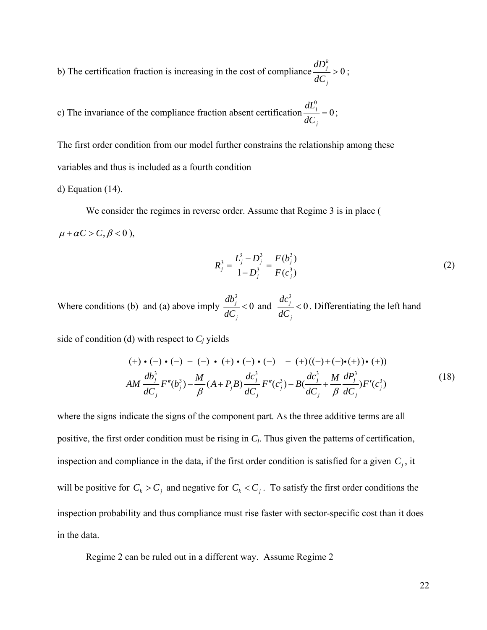b) The certification fraction is increasing in the cost of compliance  $\frac{dS_i}{dS} > 0$ *k j j dD dC*  $>0;$ 

c) The invariance of the compliance fraction absent certification 
$$
\frac{dL_j^0}{dC_j} = 0
$$
;

The first order condition from our model further constrains the relationship among these variables and thus is included as a fourth condition

d) Equation (14).

 We consider the regimes in reverse order. Assume that Regime 3 is in place (  $\mu + \alpha C > C, \beta < 0$ ,

$$
R_j^3 = \frac{L_j^3 - D_j^3}{1 - D_j^3} = \frac{F(b_j^3)}{F(c_j^3)}
$$
 (2)

Where conditions (b) and (a) above imply 3  $\frac{j}{c}$  < 0 *j db dC*  $< 0$  and 3  $\frac{j}{c}$  < 0 *j dc dC*  $< 0$ . Differentiating the left hand

side of condition (d) with respect to *Cj* yields

$$
(+) \cdot (-) \cdot (-) - (-) \cdot (+) \cdot (-) \cdot (-) - (+) ((-) + (-) \cdot (+)) \cdot (+))
$$
  
\n
$$
AM \frac{db_j^3}{dC_j} F''(b_j^3) - \frac{M}{\beta} (A + P_j B) \frac{dc_j^3}{dC_j} F''(c_j^3) - B(\frac{dc_j^3}{dC_j} + \frac{M}{\beta} \frac{dP_j^3}{dC_j}) F'(c_j^3)
$$
\n(18)

where the signs indicate the signs of the component part. As the three additive terms are all positive, the first order condition must be rising in *Cj*. Thus given the patterns of certification, inspection and compliance in the data, if the first order condition is satisfied for a given  $C_j$ , it will be positive for  $C_k > C_j$  and negative for  $C_k < C_j$ . To satisfy the first order conditions the inspection probability and thus compliance must rise faster with sector-specific cost than it does in the data.

Regime 2 can be ruled out in a different way. Assume Regime 2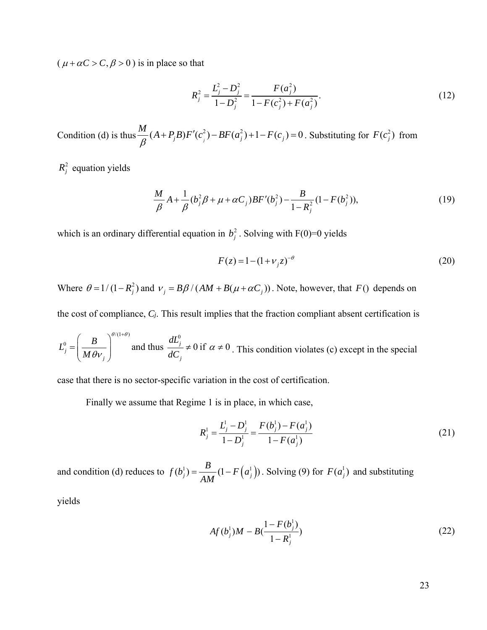$(\mu + \alpha C > C, \beta > 0)$  is in place so that

$$
R_j^2 = \frac{L_j^2 - D_j^2}{1 - D_j^2} = \frac{F(a_j^2)}{1 - F(c_j^2) + F(a_j^2)}.
$$
\n(12)

Condition (d) is thus  $\frac{M}{a}(A+P_jB)F'(c_j^2) - BF(a_j^2) + 1 - F(c_j) = 0$  $\frac{d\mathbf{r}}{\beta}(A+P_jB)F'(c_j^2)-BF(a_j^2)+1-F(c_j)=0$ . Substituting for  $F(c_j^2)$  from

 $R_j^2$  equation yields

$$
\frac{M}{\beta}A + \frac{1}{\beta}(b_j^2 \beta + \mu + \alpha C_j)BF'(b_j^2) - \frac{B}{1 - R_j^2}(1 - F(b_j^2)),\tag{19}
$$

which is an ordinary differential equation in  $b_j^2$ . Solving with F(0)=0 yields

$$
F(z) = 1 - (1 + \nu_j z)^{-\theta}
$$
 (20)

Where  $\theta = 1/(1 - R_j^2)$  and  $v_j = B\beta/(AM + B(\mu + \alpha C_j))$ . Note, however, that *F*() depends on

the cost of compliance, *Cj*. This result implies that the fraction compliant absent certification is

$$
L_j^0 = \left(\frac{B}{M\theta v_j}\right)^{\theta/(1+\theta)}
$$
 and thus  $\frac{dL_j^0}{dC_j} \neq 0$  if  $\alpha \neq 0$ . This condition violates (c) except in the special

case that there is no sector-specific variation in the cost of certification.

Finally we assume that Regime 1 is in place, in which case,

$$
R_j^1 = \frac{L_j^1 - D_j^1}{1 - D_j^1} = \frac{F(b_j^1) - F(a_j^1)}{1 - F(a_j^1)}
$$
\n(21)

and condition (d) reduces to  $f(b_j^1) = \frac{B}{AM} (1 - F(a_j^1))$ . Solving (9) for  $F(a_j^1)$  and substituting

yields

$$
Af(b_j^1)M - B(\frac{1 - F(b_j^1)}{1 - R_j^1})
$$
\n(22)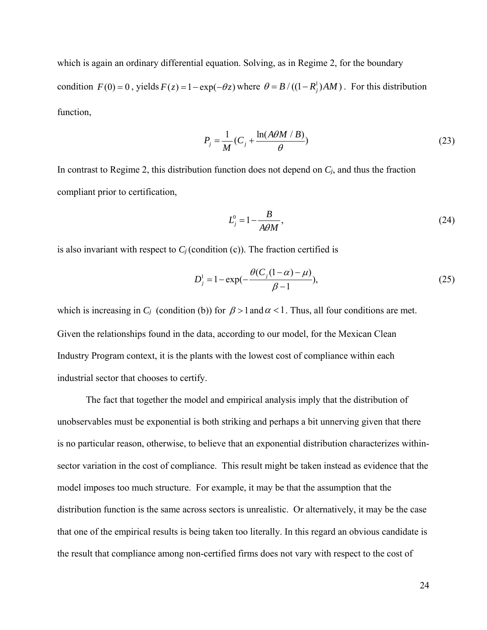which is again an ordinary differential equation. Solving, as in Regime 2, for the boundary condition  $F(0) = 0$ , yields  $F(z) = 1 - \exp(-\theta z)$  where  $\theta = B / ((1 - R_i^1)AM)$ . For this distribution function,

$$
P_j = \frac{1}{M} (C_j + \frac{\ln(A\theta M / B)}{\theta})
$$
\n(23)

In contrast to Regime 2, this distribution function does not depend on *Cj*, and thus the fraction compliant prior to certification,

$$
L_j^0 = 1 - \frac{B}{A\theta M},\tag{24}
$$

is also invariant with respect to  $C_i$  (condition (c)). The fraction certified is

$$
D_j^1 = 1 - \exp(-\frac{\theta(C_j(1-\alpha) - \mu)}{\beta - 1}),
$$
\n(25)

which is increasing in  $C_i$  (condition (b)) for  $\beta > 1$  and  $\alpha < 1$ . Thus, all four conditions are met. Given the relationships found in the data, according to our model, for the Mexican Clean Industry Program context, it is the plants with the lowest cost of compliance within each industrial sector that chooses to certify.

 The fact that together the model and empirical analysis imply that the distribution of unobservables must be exponential is both striking and perhaps a bit unnerving given that there is no particular reason, otherwise, to believe that an exponential distribution characterizes withinsector variation in the cost of compliance. This result might be taken instead as evidence that the model imposes too much structure. For example, it may be that the assumption that the distribution function is the same across sectors is unrealistic. Or alternatively, it may be the case that one of the empirical results is being taken too literally. In this regard an obvious candidate is the result that compliance among non-certified firms does not vary with respect to the cost of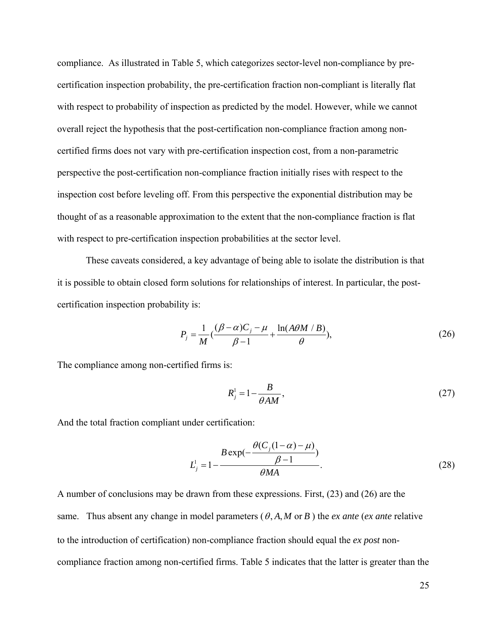compliance. As illustrated in Table 5, which categorizes sector-level non-compliance by precertification inspection probability, the pre-certification fraction non-compliant is literally flat with respect to probability of inspection as predicted by the model. However, while we cannot overall reject the hypothesis that the post-certification non-compliance fraction among noncertified firms does not vary with pre-certification inspection cost, from a non-parametric perspective the post-certification non-compliance fraction initially rises with respect to the inspection cost before leveling off. From this perspective the exponential distribution may be thought of as a reasonable approximation to the extent that the non-compliance fraction is flat with respect to pre-certification inspection probabilities at the sector level.

 These caveats considered, a key advantage of being able to isolate the distribution is that it is possible to obtain closed form solutions for relationships of interest. In particular, the postcertification inspection probability is:

$$
P_j = \frac{1}{M} \left( \frac{(\beta - \alpha)C_j - \mu}{\beta - 1} + \frac{\ln(A\theta M / B)}{\theta} \right),\tag{26}
$$

The compliance among non-certified firms is:

$$
R_j^1 = 1 - \frac{B}{\theta AM},\tag{27}
$$

And the total fraction compliant under certification:

$$
L_j^1 = 1 - \frac{B \exp\left(-\frac{\theta (C_j (1 - \alpha) - \mu)}{\beta - 1}\right)}{\theta MA}.
$$
\n(28)

A number of conclusions may be drawn from these expressions. First, (23) and (26) are the same. Thus absent any change in model parameters  $(\theta, A, M \text{ or } B)$  the *ex ante* (*ex ante* relative to the introduction of certification) non-compliance fraction should equal the *ex post* noncompliance fraction among non-certified firms. Table 5 indicates that the latter is greater than the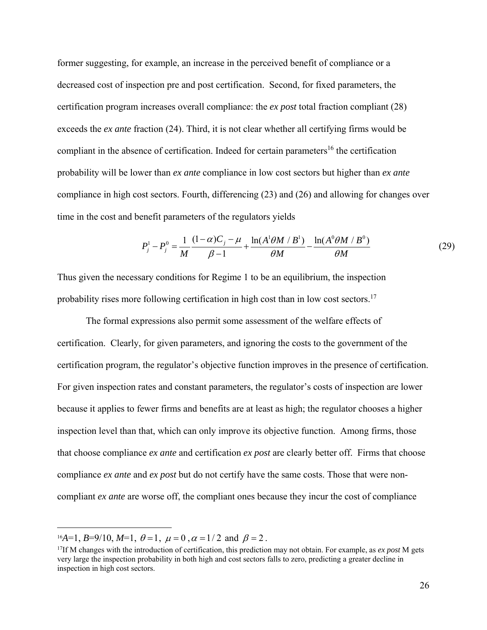former suggesting, for example, an increase in the perceived benefit of compliance or a decreased cost of inspection pre and post certification. Second, for fixed parameters, the certification program increases overall compliance: the *ex post* total fraction compliant (28) exceeds the *ex ante* fraction (24). Third, it is not clear whether all certifying firms would be compliant in the absence of certification. Indeed for certain parameters<sup>16</sup> the certification probability will be lower than *ex ante* compliance in low cost sectors but higher than *ex ante*  compliance in high cost sectors. Fourth, differencing (23) and (26) and allowing for changes over time in the cost and benefit parameters of the regulators yields

$$
P_j^1 - P_j^0 = \frac{1}{M} \frac{(1 - \alpha)C_j - \mu}{\beta - 1} + \frac{\ln(A^1 \theta M / B^1)}{\theta M} - \frac{\ln(A^0 \theta M / B^0)}{\theta M}
$$
(29)

Thus given the necessary conditions for Regime 1 to be an equilibrium, the inspection probability rises more following certification in high cost than in low cost sectors.<sup>17</sup>

 The formal expressions also permit some assessment of the welfare effects of certification. Clearly, for given parameters, and ignoring the costs to the government of the certification program, the regulator's objective function improves in the presence of certification. For given inspection rates and constant parameters, the regulator's costs of inspection are lower because it applies to fewer firms and benefits are at least as high; the regulator chooses a higher inspection level than that, which can only improve its objective function. Among firms, those that choose compliance *ex ante* and certification *ex post* are clearly better off. Firms that choose compliance *ex ante* and *ex post* but do not certify have the same costs. Those that were noncompliant *ex ante* are worse off, the compliant ones because they incur the cost of compliance

<sup>&</sup>lt;sup>16</sup>A=1, *B*=9/10, *M*=1,  $\theta$ =1,  $\mu$  = 0,  $\alpha$  = 1/2 and  $\beta$  = 2.

<sup>17</sup>If M changes with the introduction of certification, this prediction may not obtain. For example, as *ex post* M gets very large the inspection probability in both high and cost sectors falls to zero, predicting a greater decline in inspection in high cost sectors.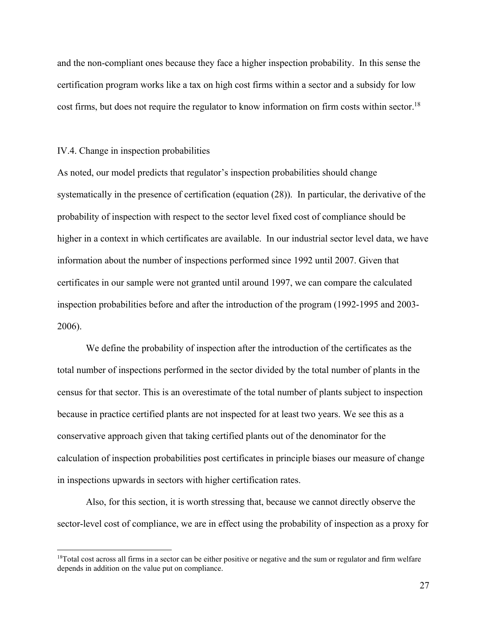and the non-compliant ones because they face a higher inspection probability. In this sense the certification program works like a tax on high cost firms within a sector and a subsidy for low cost firms, but does not require the regulator to know information on firm costs within sector.<sup>18</sup>

#### IV.4. Change in inspection probabilities

1

As noted, our model predicts that regulator's inspection probabilities should change systematically in the presence of certification (equation (28)). In particular, the derivative of the probability of inspection with respect to the sector level fixed cost of compliance should be higher in a context in which certificates are available. In our industrial sector level data, we have information about the number of inspections performed since 1992 until 2007. Given that certificates in our sample were not granted until around 1997, we can compare the calculated inspection probabilities before and after the introduction of the program (1992-1995 and 2003- 2006).

 We define the probability of inspection after the introduction of the certificates as the total number of inspections performed in the sector divided by the total number of plants in the census for that sector. This is an overestimate of the total number of plants subject to inspection because in practice certified plants are not inspected for at least two years. We see this as a conservative approach given that taking certified plants out of the denominator for the calculation of inspection probabilities post certificates in principle biases our measure of change in inspections upwards in sectors with higher certification rates.

 Also, for this section, it is worth stressing that, because we cannot directly observe the sector-level cost of compliance, we are in effect using the probability of inspection as a proxy for

<sup>&</sup>lt;sup>18</sup>Total cost across all firms in a sector can be either positive or negative and the sum or regulator and firm welfare depends in addition on the value put on compliance.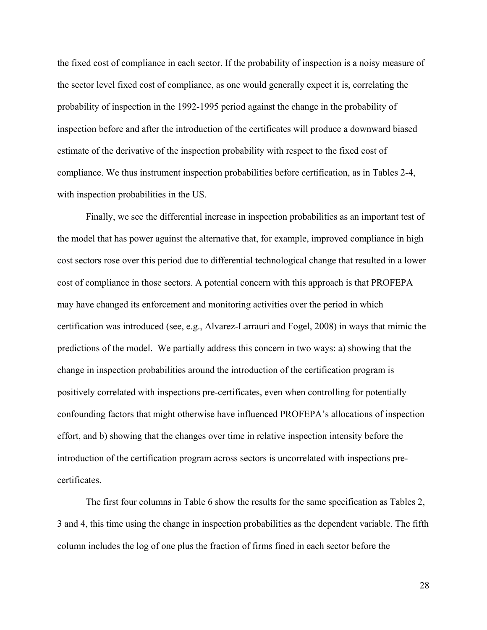the fixed cost of compliance in each sector. If the probability of inspection is a noisy measure of the sector level fixed cost of compliance, as one would generally expect it is, correlating the probability of inspection in the 1992-1995 period against the change in the probability of inspection before and after the introduction of the certificates will produce a downward biased estimate of the derivative of the inspection probability with respect to the fixed cost of compliance. We thus instrument inspection probabilities before certification, as in Tables 2-4, with inspection probabilities in the US.

 Finally, we see the differential increase in inspection probabilities as an important test of the model that has power against the alternative that, for example, improved compliance in high cost sectors rose over this period due to differential technological change that resulted in a lower cost of compliance in those sectors. A potential concern with this approach is that PROFEPA may have changed its enforcement and monitoring activities over the period in which certification was introduced (see, e.g., Alvarez-Larrauri and Fogel, 2008) in ways that mimic the predictions of the model. We partially address this concern in two ways: a) showing that the change in inspection probabilities around the introduction of the certification program is positively correlated with inspections pre-certificates, even when controlling for potentially confounding factors that might otherwise have influenced PROFEPA's allocations of inspection effort, and b) showing that the changes over time in relative inspection intensity before the introduction of the certification program across sectors is uncorrelated with inspections precertificates.

 The first four columns in Table 6 show the results for the same specification as Tables 2, 3 and 4, this time using the change in inspection probabilities as the dependent variable. The fifth column includes the log of one plus the fraction of firms fined in each sector before the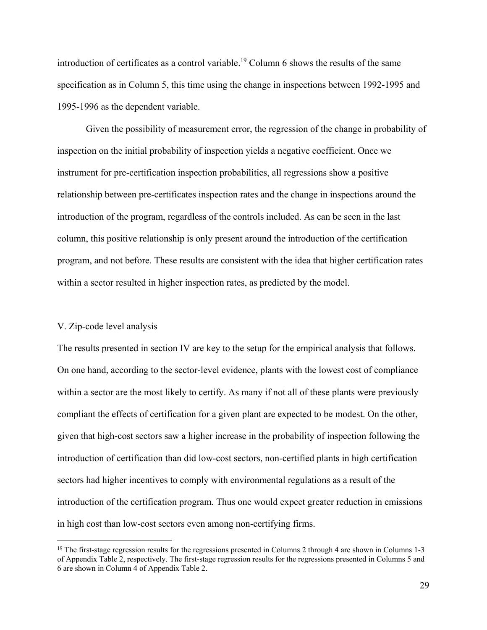introduction of certificates as a control variable.<sup>19</sup> Column 6 shows the results of the same specification as in Column 5, this time using the change in inspections between 1992-1995 and 1995-1996 as the dependent variable.

 Given the possibility of measurement error, the regression of the change in probability of inspection on the initial probability of inspection yields a negative coefficient. Once we instrument for pre-certification inspection probabilities, all regressions show a positive relationship between pre-certificates inspection rates and the change in inspections around the introduction of the program, regardless of the controls included. As can be seen in the last column, this positive relationship is only present around the introduction of the certification program, and not before. These results are consistent with the idea that higher certification rates within a sector resulted in higher inspection rates, as predicted by the model.

## V. Zip-code level analysis

 $\overline{a}$ 

The results presented in section IV are key to the setup for the empirical analysis that follows. On one hand, according to the sector-level evidence, plants with the lowest cost of compliance within a sector are the most likely to certify. As many if not all of these plants were previously compliant the effects of certification for a given plant are expected to be modest. On the other, given that high-cost sectors saw a higher increase in the probability of inspection following the introduction of certification than did low-cost sectors, non-certified plants in high certification sectors had higher incentives to comply with environmental regulations as a result of the introduction of the certification program. Thus one would expect greater reduction in emissions in high cost than low-cost sectors even among non-certifying firms.

<sup>&</sup>lt;sup>19</sup> The first-stage regression results for the regressions presented in Columns 2 through 4 are shown in Columns 1-3 of Appendix Table 2, respectively. The first-stage regression results for the regressions presented in Columns 5 and 6 are shown in Column 4 of Appendix Table 2.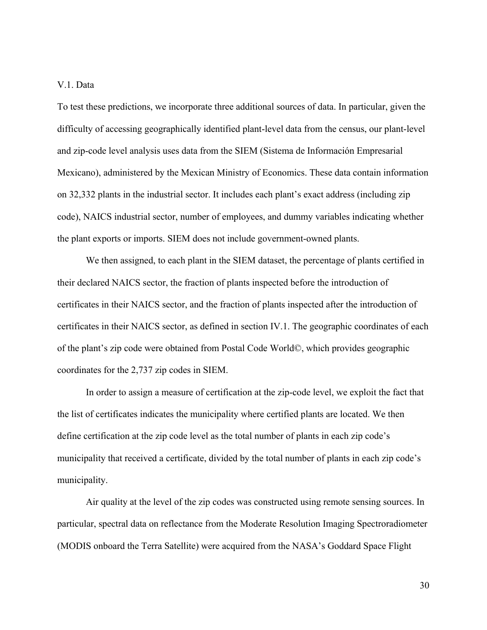# V.1. Data

To test these predictions, we incorporate three additional sources of data. In particular, given the difficulty of accessing geographically identified plant-level data from the census, our plant-level and zip-code level analysis uses data from the SIEM (Sistema de Información Empresarial Mexicano), administered by the Mexican Ministry of Economics. These data contain information on 32,332 plants in the industrial sector. It includes each plant's exact address (including zip code), NAICS industrial sector, number of employees, and dummy variables indicating whether the plant exports or imports. SIEM does not include government-owned plants.

 We then assigned, to each plant in the SIEM dataset, the percentage of plants certified in their declared NAICS sector, the fraction of plants inspected before the introduction of certificates in their NAICS sector, and the fraction of plants inspected after the introduction of certificates in their NAICS sector, as defined in section IV.1. The geographic coordinates of each of the plant's zip code were obtained from Postal Code World©, which provides geographic coordinates for the 2,737 zip codes in SIEM.

 In order to assign a measure of certification at the zip-code level, we exploit the fact that the list of certificates indicates the municipality where certified plants are located. We then define certification at the zip code level as the total number of plants in each zip code's municipality that received a certificate, divided by the total number of plants in each zip code's municipality.

 Air quality at the level of the zip codes was constructed using remote sensing sources. In particular, spectral data on reflectance from the Moderate Resolution Imaging Spectroradiometer (MODIS onboard the Terra Satellite) were acquired from the NASA's Goddard Space Flight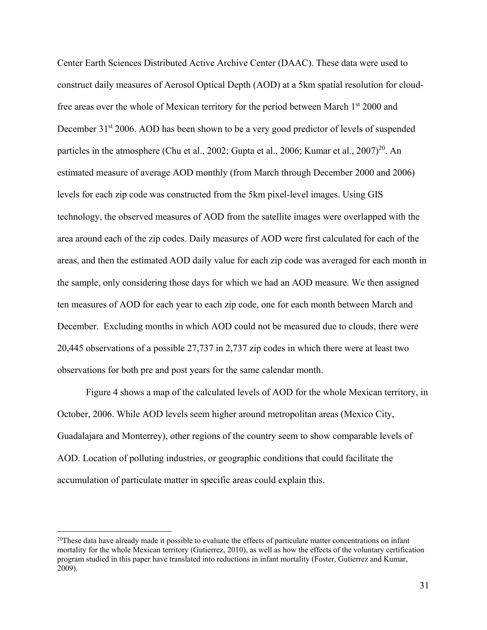Center Earth Sciences Distributed Active Archive Center (DAAC). These data were used to construct daily measures of Aerosol Optical Depth (AOD) at a 5km spatial resolution for cloudfree areas over the whole of Mexican territory for the period between March 1<sup>st</sup> 2000 and December 31<sup>st</sup> 2006. AOD has been shown to be a very good predictor of levels of suspended particles in the atmosphere (Chu et al., 2002; Gupta et al., 2006; Kumar et al., 2007)<sup>20</sup>. An estimated measure of average AOD monthly (from March through December 2000 and 2006) levels for each zip code was constructed from the 5km pixel-level images. Using GIS technology, the observed measures of AOD from the satellite images were overlapped with the area around each of the zip codes. Daily measures of AOD were first calculated for each of the areas, and then the estimated AOD daily value for each zip code was averaged for each month in the sample, only considering those days for which we had an AOD measure. We then assigned ten measures of AOD for each year to each zip code, one for each month between March and December. Excluding months in which AOD could not be measured due to clouds, there were 20,445 observations of a possible 27,737 in 2,737 zip codes in which there were at least two observations for both pre and post years for the same calendar month.

Figure 4 shows a map of the calculated levels of AOD for the whole Mexican territory, in October, 2006. While AOD levels seem higher around metropolitan areas (Mexico City, Guadalajara and Monterrey), other regions of the country seem to show comparable levels of AOD. Location of polluting industries, or geographic conditions that could facilitate the accumulation of particulate matter in specific areas could explain this.

<u>.</u>

 $20$ These data have already made it possible to evaluate the effects of particulate matter concentrations on infant mortality for the whole Mexican territory (Gutierrez, 2010), as well as how the effects of the voluntary certification program studied in this paper have translated into reductions in infant mortality (Foster, Gutierrez and Kumar, 2009).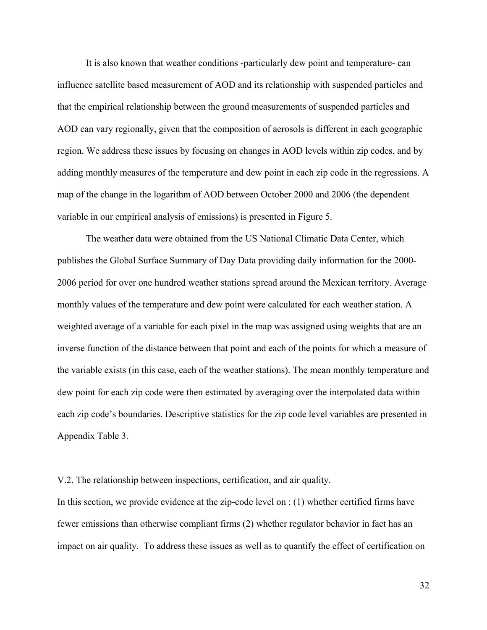It is also known that weather conditions -particularly dew point and temperature- can influence satellite based measurement of AOD and its relationship with suspended particles and that the empirical relationship between the ground measurements of suspended particles and AOD can vary regionally, given that the composition of aerosols is different in each geographic region. We address these issues by focusing on changes in AOD levels within zip codes, and by adding monthly measures of the temperature and dew point in each zip code in the regressions. A map of the change in the logarithm of AOD between October 2000 and 2006 (the dependent variable in our empirical analysis of emissions) is presented in Figure 5.

 The weather data were obtained from the US National Climatic Data Center, which publishes the Global Surface Summary of Day Data providing daily information for the 2000- 2006 period for over one hundred weather stations spread around the Mexican territory. Average monthly values of the temperature and dew point were calculated for each weather station. A weighted average of a variable for each pixel in the map was assigned using weights that are an inverse function of the distance between that point and each of the points for which a measure of the variable exists (in this case, each of the weather stations). The mean monthly temperature and dew point for each zip code were then estimated by averaging over the interpolated data within each zip code's boundaries. Descriptive statistics for the zip code level variables are presented in Appendix Table 3.

# V.2. The relationship between inspections, certification, and air quality.

In this section, we provide evidence at the zip-code level on : (1) whether certified firms have fewer emissions than otherwise compliant firms (2) whether regulator behavior in fact has an impact on air quality. To address these issues as well as to quantify the effect of certification on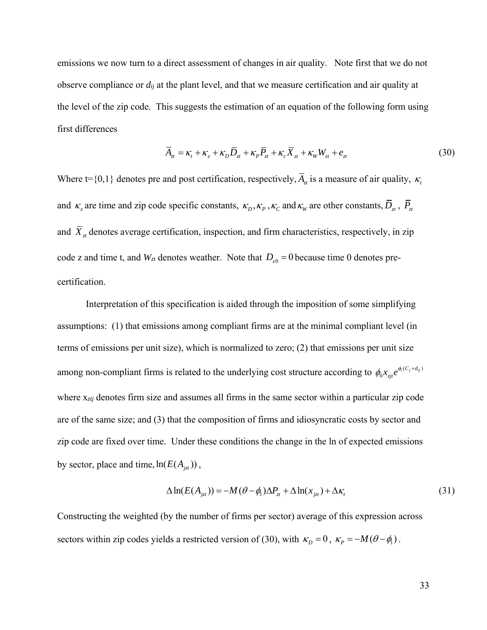emissions we now turn to a direct assessment of changes in air quality. Note first that we do not observe compliance or *dij* at the plant level, and that we measure certification and air quality at the level of the zip code. This suggests the estimation of an equation of the following form using first differences

$$
\overline{A}_{zt} = \kappa_t + \kappa_z + \kappa_D \overline{D}_{zt} + \kappa_P \overline{P}_{zt} + \kappa_c \overline{X}_{zt} + \kappa_W W_{zt} + e_{zt}
$$
\n(30)

Where  $t = \{0,1\}$  denotes pre and post certification, respectively,  $\overline{A}_{\tau}$  is a measure of air quality,  $\kappa$ , and  $\kappa_z$  are time and zip code specific constants,  $\kappa_p, \kappa_p, \kappa_c$  and  $\kappa_w$  are other constants,  $\overline{D}_z$ ,  $\overline{P}_z$ and  $\overline{X}_{\tau}$  denotes average certification, inspection, and firm characteristics, respectively, in zip code z and time t, and  $W_{zt}$  denotes weather. Note that  $D_{z0} = 0$  because time 0 denotes precertification.

 Interpretation of this specification is aided through the imposition of some simplifying assumptions: (1) that emissions among compliant firms are at the minimal compliant level (in terms of emissions per unit size), which is normalized to zero; (2) that emissions per unit size among non-compliant firms is related to the underlying cost structure according to  $\phi_0 x_{zi} e^{\phi_1 (C_j + d_{ij})}$  $\phi_0 x_{zjt} e^{\phi_1 (C_j + d_{ij})}$ where x*ztj* denotes firm size and assumes all firms in the same sector within a particular zip code are of the same size; and (3) that the composition of firms and idiosyncratic costs by sector and zip code are fixed over time. Under these conditions the change in the ln of expected emissions by sector, place and time,  $ln(E(A<sub>izt</sub>)))$ ,

$$
\Delta \ln(E(A_{jzt})) = -M(\theta - \phi_1)\Delta P_{zt} + \Delta \ln(x_{jzt}) + \Delta \kappa_t
$$
\n(31)

Constructing the weighted (by the number of firms per sector) average of this expression across sectors within zip codes yields a restricted version of (30), with  $\kappa_D = 0$ ,  $\kappa_P = -M(\theta - \phi)$ .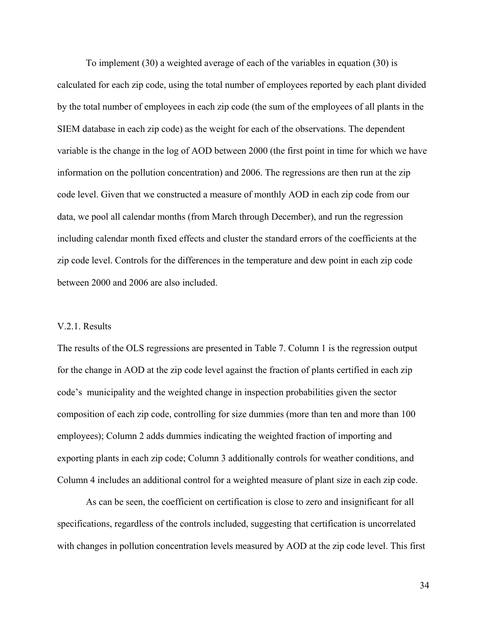To implement (30) a weighted average of each of the variables in equation (30) is calculated for each zip code, using the total number of employees reported by each plant divided by the total number of employees in each zip code (the sum of the employees of all plants in the SIEM database in each zip code) as the weight for each of the observations. The dependent variable is the change in the log of AOD between 2000 (the first point in time for which we have information on the pollution concentration) and 2006. The regressions are then run at the zip code level. Given that we constructed a measure of monthly AOD in each zip code from our data, we pool all calendar months (from March through December), and run the regression including calendar month fixed effects and cluster the standard errors of the coefficients at the zip code level. Controls for the differences in the temperature and dew point in each zip code between 2000 and 2006 are also included.

## V.2.1. Results

The results of the OLS regressions are presented in Table 7. Column 1 is the regression output for the change in AOD at the zip code level against the fraction of plants certified in each zip code's municipality and the weighted change in inspection probabilities given the sector composition of each zip code, controlling for size dummies (more than ten and more than 100 employees); Column 2 adds dummies indicating the weighted fraction of importing and exporting plants in each zip code; Column 3 additionally controls for weather conditions, and Column 4 includes an additional control for a weighted measure of plant size in each zip code.

 As can be seen, the coefficient on certification is close to zero and insignificant for all specifications, regardless of the controls included, suggesting that certification is uncorrelated with changes in pollution concentration levels measured by AOD at the zip code level. This first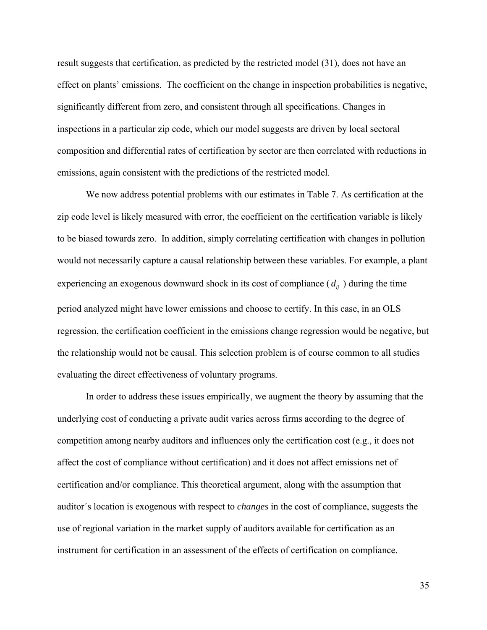result suggests that certification, as predicted by the restricted model (31), does not have an effect on plants' emissions. The coefficient on the change in inspection probabilities is negative, significantly different from zero, and consistent through all specifications. Changes in inspections in a particular zip code, which our model suggests are driven by local sectoral composition and differential rates of certification by sector are then correlated with reductions in emissions, again consistent with the predictions of the restricted model.

 We now address potential problems with our estimates in Table 7. As certification at the zip code level is likely measured with error, the coefficient on the certification variable is likely to be biased towards zero. In addition, simply correlating certification with changes in pollution would not necessarily capture a causal relationship between these variables. For example, a plant experiencing an exogenous downward shock in its cost of compliance  $(d_{ij})$  during the time period analyzed might have lower emissions and choose to certify. In this case, in an OLS regression, the certification coefficient in the emissions change regression would be negative, but the relationship would not be causal. This selection problem is of course common to all studies evaluating the direct effectiveness of voluntary programs.

In order to address these issues empirically, we augment the theory by assuming that the underlying cost of conducting a private audit varies across firms according to the degree of competition among nearby auditors and influences only the certification cost (e.g., it does not affect the cost of compliance without certification) and it does not affect emissions net of certification and/or compliance. This theoretical argument, along with the assumption that auditor´s location is exogenous with respect to *changes* in the cost of compliance, suggests the use of regional variation in the market supply of auditors available for certification as an instrument for certification in an assessment of the effects of certification on compliance.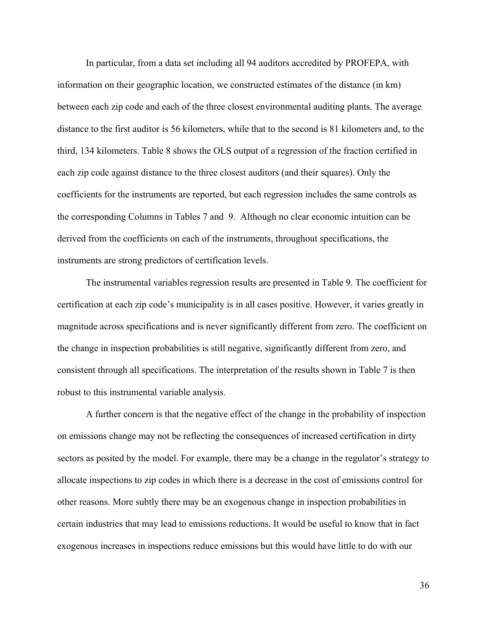In particular, from a data set including all 94 auditors accredited by PROFEPA, with information on their geographic location, we constructed estimates of the distance (in km) between each zip code and each of the three closest environmental auditing plants. The average distance to the first auditor is 56 kilometers, while that to the second is 81 kilometers and, to the third, 134 kilometers. Table 8 shows the OLS output of a regression of the fraction certified in each zip code against distance to the three closest auditors (and their squares). Only the coefficients for the instruments are reported, but each regression includes the same controls as the corresponding Columns in Tables 7 and 9. Although no clear economic intuition can be derived from the coefficients on each of the instruments, throughout specifications, the instruments are strong predictors of certification levels.

The instrumental variables regression results are presented in Table 9. The coefficient for certification at each zip code's municipality is in all cases positive. However, it varies greatly in magnitude across specifications and is never significantly different from zero. The coefficient on the change in inspection probabilities is still negative, significantly different from zero, and consistent through all specifications. The interpretation of the results shown in Table 7 is then robust to this instrumental variable analysis.

 A further concern is that the negative effect of the change in the probability of inspection on emissions change may not be reflecting the consequences of increased certification in dirty sectors as posited by the model. For example, there may be a change in the regulator's strategy to allocate inspections to zip codes in which there is a decrease in the cost of emissions control for other reasons. More subtly there may be an exogenous change in inspection probabilities in certain industries that may lead to emissions reductions. It would be useful to know that in fact exogenous increases in inspections reduce emissions but this would have little to do with our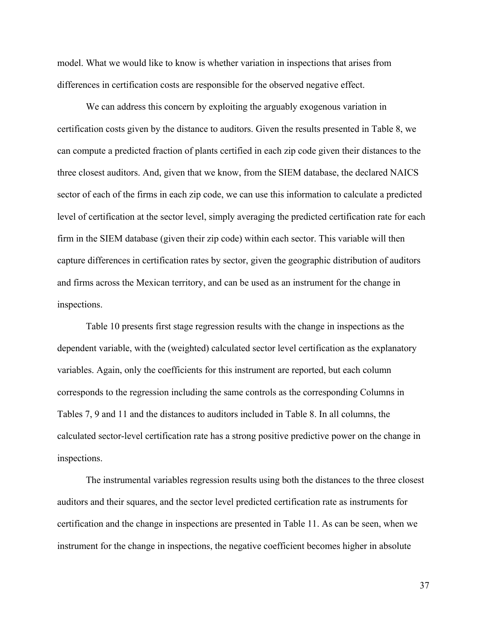model. What we would like to know is whether variation in inspections that arises from differences in certification costs are responsible for the observed negative effect.

 We can address this concern by exploiting the arguably exogenous variation in certification costs given by the distance to auditors. Given the results presented in Table 8, we can compute a predicted fraction of plants certified in each zip code given their distances to the three closest auditors. And, given that we know, from the SIEM database, the declared NAICS sector of each of the firms in each zip code, we can use this information to calculate a predicted level of certification at the sector level, simply averaging the predicted certification rate for each firm in the SIEM database (given their zip code) within each sector. This variable will then capture differences in certification rates by sector, given the geographic distribution of auditors and firms across the Mexican territory, and can be used as an instrument for the change in inspections.

 Table 10 presents first stage regression results with the change in inspections as the dependent variable, with the (weighted) calculated sector level certification as the explanatory variables. Again, only the coefficients for this instrument are reported, but each column corresponds to the regression including the same controls as the corresponding Columns in Tables 7, 9 and 11 and the distances to auditors included in Table 8. In all columns, the calculated sector-level certification rate has a strong positive predictive power on the change in inspections.

 The instrumental variables regression results using both the distances to the three closest auditors and their squares, and the sector level predicted certification rate as instruments for certification and the change in inspections are presented in Table 11. As can be seen, when we instrument for the change in inspections, the negative coefficient becomes higher in absolute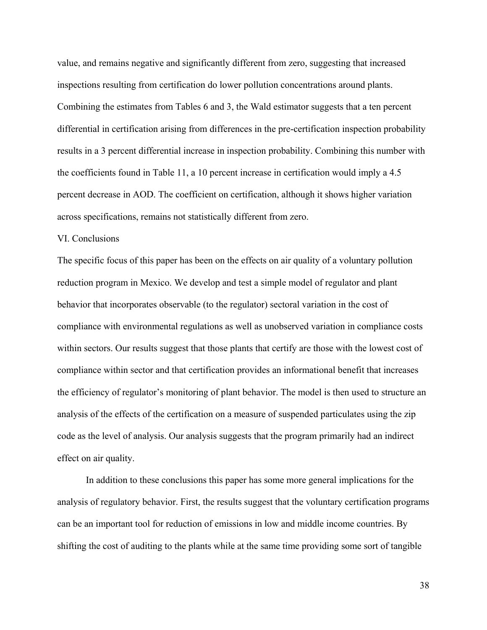value, and remains negative and significantly different from zero, suggesting that increased inspections resulting from certification do lower pollution concentrations around plants. Combining the estimates from Tables 6 and 3, the Wald estimator suggests that a ten percent differential in certification arising from differences in the pre-certification inspection probability results in a 3 percent differential increase in inspection probability. Combining this number with the coefficients found in Table 11, a 10 percent increase in certification would imply a 4.5 percent decrease in AOD. The coefficient on certification, although it shows higher variation across specifications, remains not statistically different from zero.

# VI. Conclusions

The specific focus of this paper has been on the effects on air quality of a voluntary pollution reduction program in Mexico. We develop and test a simple model of regulator and plant behavior that incorporates observable (to the regulator) sectoral variation in the cost of compliance with environmental regulations as well as unobserved variation in compliance costs within sectors. Our results suggest that those plants that certify are those with the lowest cost of compliance within sector and that certification provides an informational benefit that increases the efficiency of regulator's monitoring of plant behavior. The model is then used to structure an analysis of the effects of the certification on a measure of suspended particulates using the zip code as the level of analysis. Our analysis suggests that the program primarily had an indirect effect on air quality.

In addition to these conclusions this paper has some more general implications for the analysis of regulatory behavior. First, the results suggest that the voluntary certification programs can be an important tool for reduction of emissions in low and middle income countries. By shifting the cost of auditing to the plants while at the same time providing some sort of tangible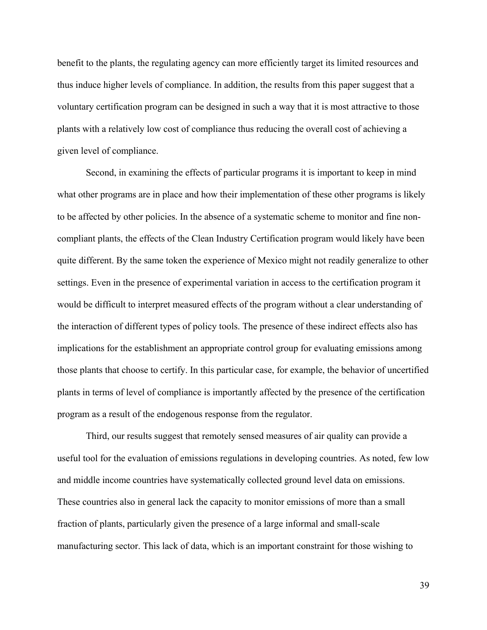benefit to the plants, the regulating agency can more efficiently target its limited resources and thus induce higher levels of compliance. In addition, the results from this paper suggest that a voluntary certification program can be designed in such a way that it is most attractive to those plants with a relatively low cost of compliance thus reducing the overall cost of achieving a given level of compliance.

Second, in examining the effects of particular programs it is important to keep in mind what other programs are in place and how their implementation of these other programs is likely to be affected by other policies. In the absence of a systematic scheme to monitor and fine noncompliant plants, the effects of the Clean Industry Certification program would likely have been quite different. By the same token the experience of Mexico might not readily generalize to other settings. Even in the presence of experimental variation in access to the certification program it would be difficult to interpret measured effects of the program without a clear understanding of the interaction of different types of policy tools. The presence of these indirect effects also has implications for the establishment an appropriate control group for evaluating emissions among those plants that choose to certify. In this particular case, for example, the behavior of uncertified plants in terms of level of compliance is importantly affected by the presence of the certification program as a result of the endogenous response from the regulator.

Third, our results suggest that remotely sensed measures of air quality can provide a useful tool for the evaluation of emissions regulations in developing countries. As noted, few low and middle income countries have systematically collected ground level data on emissions. These countries also in general lack the capacity to monitor emissions of more than a small fraction of plants, particularly given the presence of a large informal and small-scale manufacturing sector. This lack of data, which is an important constraint for those wishing to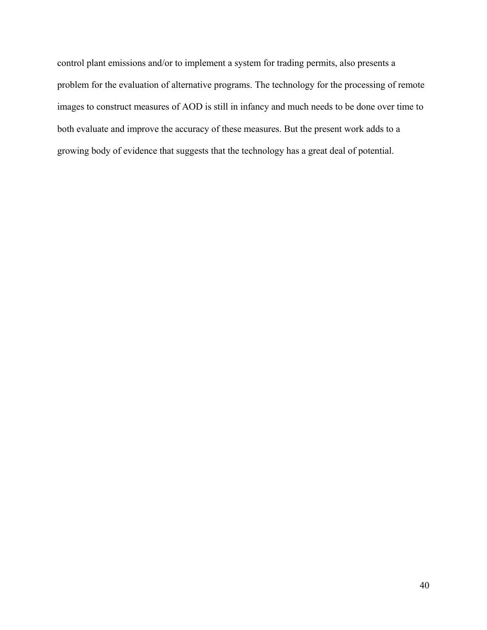control plant emissions and/or to implement a system for trading permits, also presents a problem for the evaluation of alternative programs. The technology for the processing of remote images to construct measures of AOD is still in infancy and much needs to be done over time to both evaluate and improve the accuracy of these measures. But the present work adds to a growing body of evidence that suggests that the technology has a great deal of potential.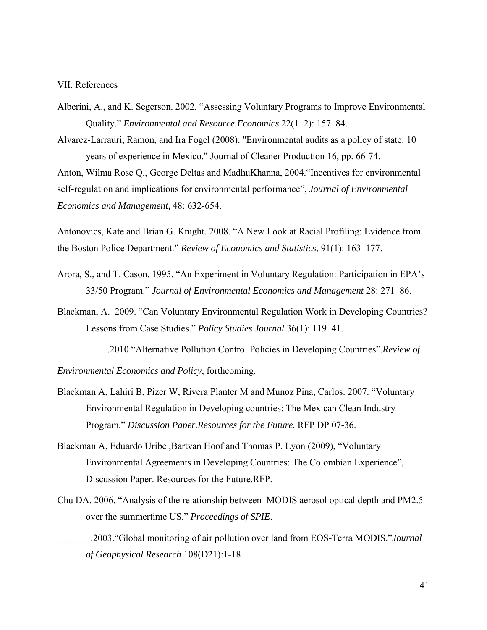#### VII. References

Alberini, A., and K. Segerson. 2002. "Assessing Voluntary Programs to Improve Environmental Quality." *Environmental and Resource Economics* 22(1–2): 157–84.

Alvarez-Larrauri, Ramon, and Ira Fogel (2008). "Environmental audits as a policy of state: 10 years of experience in Mexico." Journal of Cleaner Production 16, pp. 66-74. Anton, Wilma Rose Q., George Deltas and MadhuKhanna, 2004."Incentives for environmental self-regulation and implications for environmental performance", *Journal of Environmental Economics and Management,* 48: 632-654.

Antonovics, Kate and Brian G. Knight. 2008. "A New Look at Racial Profiling: Evidence from the Boston Police Department." *Review of Economics and Statistics*, 91(1): 163–177.

- Arora, S., and T. Cason. 1995. "An Experiment in Voluntary Regulation: Participation in EPA's 33/50 Program." *Journal of Environmental Economics and Management* 28: 271–86.
- Blackman, A. 2009. "Can Voluntary Environmental Regulation Work in Developing Countries? Lessons from Case Studies." *Policy Studies Journal* 36(1): 119–41.

\_\_\_\_\_\_\_\_\_\_ .2010."Alternative Pollution Control Policies in Developing Countries".*Review of Environmental Economics and Policy*, forthcoming.

- Blackman A, Lahiri B, Pizer W, Rivera Planter M and Munoz Pina, Carlos. 2007. "Voluntary Environmental Regulation in Developing countries: The Mexican Clean Industry Program." *Discussion Paper.Resources for the Future.* RFP DP 07-36.
- Blackman A, Eduardo Uribe ,Bartvan Hoof and Thomas P. Lyon (2009), "Voluntary Environmental Agreements in Developing Countries: The Colombian Experience", Discussion Paper. Resources for the Future.RFP.
- Chu DA. 2006. "Analysis of the relationship between MODIS aerosol optical depth and PM2.5 over the summertime US." *Proceedings of SPIE*.

\_\_\_\_\_\_\_.2003."Global monitoring of air pollution over land from EOS-Terra MODIS."*Journal of Geophysical Research* 108(D21):1-18.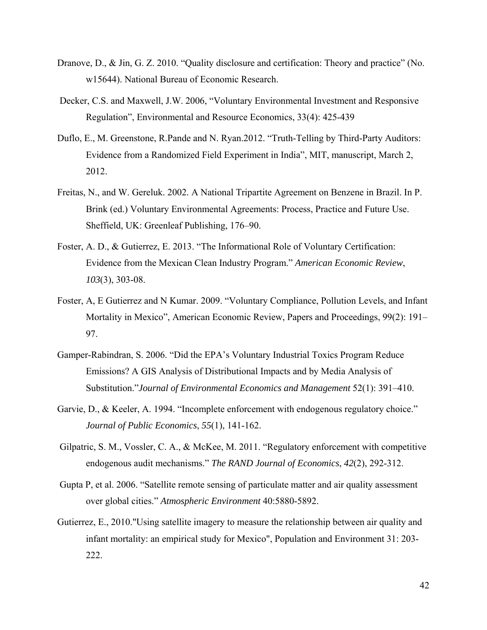- Dranove, D., & Jin, G. Z. 2010. "Quality disclosure and certification: Theory and practice" (No. w15644). National Bureau of Economic Research.
- Decker, C.S. and Maxwell, J.W. 2006, "Voluntary Environmental Investment and Responsive Regulation", Environmental and Resource Economics, 33(4): 425-439
- Duflo, E., M. Greenstone, R.Pande and N. Ryan.2012. "Truth-Telling by Third-Party Auditors: Evidence from a Randomized Field Experiment in India", MIT, manuscript, March 2, 2012.
- Freitas, N., and W. Gereluk. 2002. A National Tripartite Agreement on Benzene in Brazil. In P. Brink (ed.) Voluntary Environmental Agreements: Process, Practice and Future Use. Sheffield, UK: Greenleaf Publishing, 176–90.
- Foster, A. D., & Gutierrez, E. 2013. "The Informational Role of Voluntary Certification: Evidence from the Mexican Clean Industry Program." *American Economic Review*, *103*(3), 303-08.
- Foster, A, E Gutierrez and N Kumar. 2009. "Voluntary Compliance, Pollution Levels, and Infant Mortality in Mexico", American Economic Review, Papers and Proceedings, 99(2): 191– 97.
- Gamper-Rabindran, S. 2006. "Did the EPA's Voluntary Industrial Toxics Program Reduce Emissions? A GIS Analysis of Distributional Impacts and by Media Analysis of Substitution."*Journal of Environmental Economics and Management* 52(1): 391–410.
- Garvie, D., & Keeler, A. 1994. "Incomplete enforcement with endogenous regulatory choice." *Journal of Public Economics*, *55*(1), 141-162.
- Gilpatric, S. M., Vossler, C. A., & McKee, M. 2011. "Regulatory enforcement with competitive endogenous audit mechanisms." *The RAND Journal of Economics*, *42*(2), 292-312.
- Gupta P, et al. 2006. "Satellite remote sensing of particulate matter and air quality assessment over global cities." *Atmospheric Environment* 40:5880-5892.
- Gutierrez, E., 2010."Using satellite imagery to measure the relationship between air quality and infant mortality: an empirical study for Mexico", Population and Environment 31: 203- 222.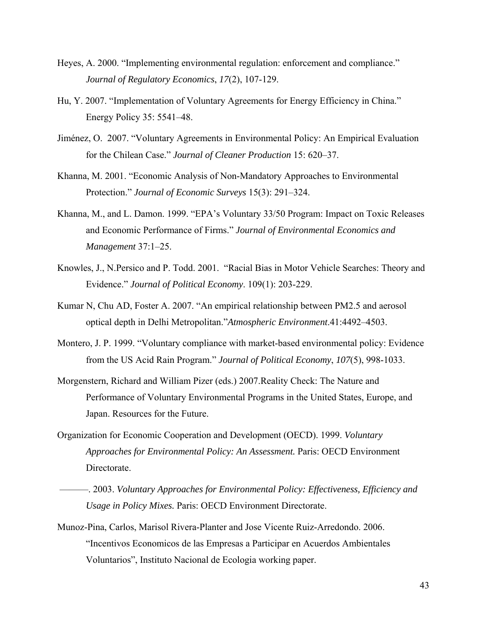- Heyes, A. 2000. "Implementing environmental regulation: enforcement and compliance." *Journal of Regulatory Economics*, *17*(2), 107-129.
- Hu, Y. 2007. "Implementation of Voluntary Agreements for Energy Efficiency in China." Energy Policy 35: 5541–48.
- Jiménez, O. 2007. "Voluntary Agreements in Environmental Policy: An Empirical Evaluation for the Chilean Case." *Journal of Cleaner Production* 15: 620–37.
- Khanna, M. 2001. "Economic Analysis of Non-Mandatory Approaches to Environmental Protection." *Journal of Economic Surveys* 15(3): 291–324.
- Khanna, M., and L. Damon. 1999. "EPA's Voluntary 33/50 Program: Impact on Toxic Releases and Economic Performance of Firms." *Journal of Environmental Economics and Management* 37:1–25.
- Knowles, J., N.Persico and P. Todd. 2001. "Racial Bias in Motor Vehicle Searches: Theory and Evidence." *Journal of Political Economy*. 109(1): 203-229.
- Kumar N, Chu AD, Foster A. 2007. "An empirical relationship between PM2.5 and aerosol optical depth in Delhi Metropolitan."*Atmospheric Environment*.41:4492–4503.
- Montero, J. P. 1999. "Voluntary compliance with market-based environmental policy: Evidence from the US Acid Rain Program." *Journal of Political Economy*, *107*(5), 998-1033.
- Morgenstern, Richard and William Pizer (eds.) 2007.Reality Check: The Nature and Performance of Voluntary Environmental Programs in the United States, Europe, and Japan. Resources for the Future.
- Organization for Economic Cooperation and Development (OECD). 1999. *Voluntary Approaches for Environmental Policy: An Assessment.* Paris: OECD Environment Directorate.
- ———. 2003. *Voluntary Approaches for Environmental Policy: Effectiveness, Efficiency and Usage in Policy Mixes.* Paris: OECD Environment Directorate.
- Munoz-Pina, Carlos, Marisol Rivera-Planter and Jose Vicente Ruiz-Arredondo. 2006. "Incentivos Economicos de las Empresas a Participar en Acuerdos Ambientales Voluntarios", Instituto Nacional de Ecologia working paper.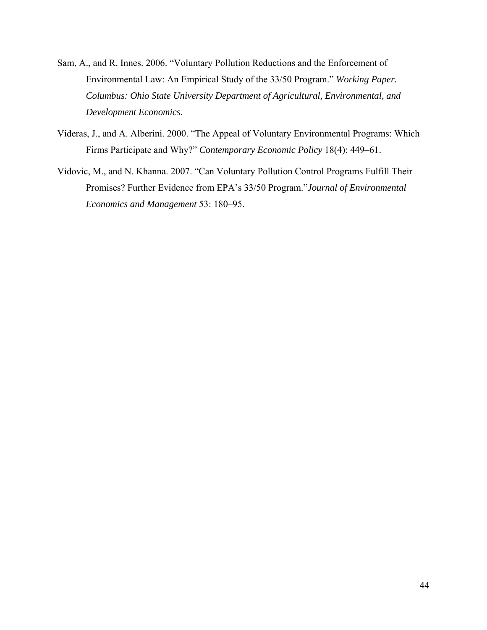- Sam, A., and R. Innes. 2006. "Voluntary Pollution Reductions and the Enforcement of Environmental Law: An Empirical Study of the 33/50 Program." *Working Paper. Columbus: Ohio State University Department of Agricultural, Environmental, and Development Economics.*
- Videras, J., and A. Alberini. 2000. "The Appeal of Voluntary Environmental Programs: Which Firms Participate and Why?" *Contemporary Economic Policy* 18(4): 449–61.
- Vidovic, M., and N. Khanna. 2007. "Can Voluntary Pollution Control Programs Fulfill Their Promises? Further Evidence from EPA's 33/50 Program."*Journal of Environmental Economics and Management* 53: 180–95.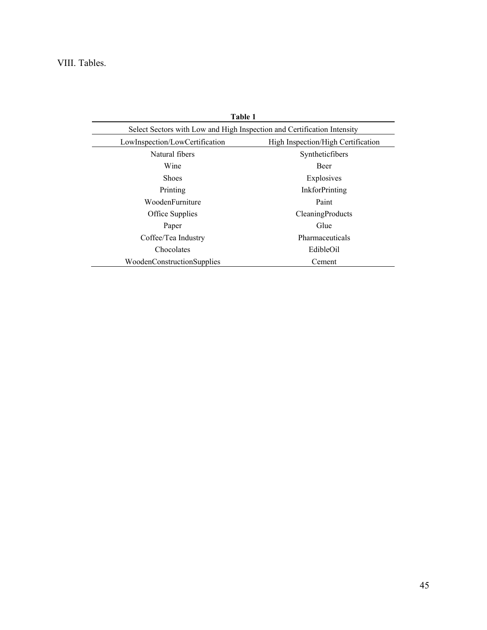# VIII. Tables.

| Table 1                                                                 |                                    |
|-------------------------------------------------------------------------|------------------------------------|
| Select Sectors with Low and High Inspection and Certification Intensity |                                    |
| LowInspection/LowCertification                                          | High Inspection/High Certification |
| Natural fibers                                                          | Syntheticfibers                    |
| Wine                                                                    | <b>Beer</b>                        |
| <b>Shoes</b>                                                            | Explosives                         |
| Printing                                                                | <b>InkforPrinting</b>              |
| WoodenFurniture                                                         | Paint                              |
| Office Supplies                                                         | CleaningProducts                   |
| Paper                                                                   | Glue                               |
| Coffee/Tea Industry                                                     | Pharmaceuticals                    |
| Chocolates                                                              | EdibleOil                          |
| WoodenConstructionSupplies                                              | Cement                             |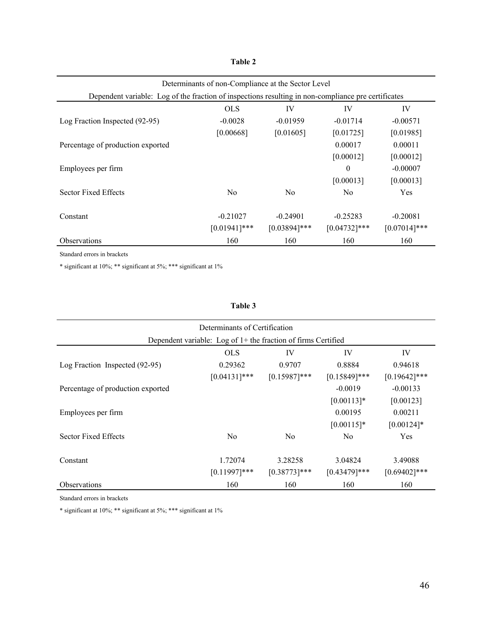# **Table 2**

|                                                                                                     | Determinants of non-Compliance at the Sector Level |                 |                 |                 |  |  |  |
|-----------------------------------------------------------------------------------------------------|----------------------------------------------------|-----------------|-----------------|-----------------|--|--|--|
| Dependent variable: Log of the fraction of inspections resulting in non-compliance pre certificates |                                                    |                 |                 |                 |  |  |  |
|                                                                                                     | <b>OLS</b>                                         | IV              | IV              | IV              |  |  |  |
| Log Fraction Inspected (92-95)                                                                      | $-0.0028$                                          | $-0.01959$      | $-0.01714$      | $-0.00571$      |  |  |  |
|                                                                                                     | [0.00668]                                          | [0.01605]       | [0.01725]       | [0.01985]       |  |  |  |
| Percentage of production exported                                                                   |                                                    |                 | 0.00017         | 0.00011         |  |  |  |
|                                                                                                     |                                                    |                 | [0.00012]       | [0.00012]       |  |  |  |
| Employees per firm                                                                                  |                                                    |                 | $\theta$        | $-0.00007$      |  |  |  |
|                                                                                                     |                                                    |                 | [0.00013]       | [0.00013]       |  |  |  |
| Sector Fixed Effects                                                                                | N <sub>0</sub>                                     | N <sub>0</sub>  | N <sub>0</sub>  | Yes             |  |  |  |
|                                                                                                     |                                                    |                 |                 |                 |  |  |  |
| Constant                                                                                            | $-0.21027$                                         | $-0.24901$      | $-0.25283$      | $-0.20081$      |  |  |  |
|                                                                                                     | $[0.01941]$ ***                                    | $[0.03894]$ *** | $[0.04732]$ *** | $[0.07014]$ *** |  |  |  |
| <b>Observations</b>                                                                                 | 160                                                | 160             | 160             | 160             |  |  |  |

Standard errors in brackets

 $\hspace{0.1mm}^*$  significant at 10%;  $\hspace{0.1mm}^{**}$  significant at 1%

#### **Table 3**

| Determinants of Certification                                   |                 |                 |                 |                 |  |  |  |  |
|-----------------------------------------------------------------|-----------------|-----------------|-----------------|-----------------|--|--|--|--|
| Dependent variable: Log of $1+$ the fraction of firms Certified |                 |                 |                 |                 |  |  |  |  |
| <b>OLS</b><br>IV<br>IV<br>IV                                    |                 |                 |                 |                 |  |  |  |  |
| Log Fraction Inspected (92-95)                                  | 0.29362         | 0.9707          | 0.8884          | 0.94618         |  |  |  |  |
|                                                                 | $[0.04131]$ *** | $[0.15987]$ *** | $[0.15849]$ *** | $[0.19642]$ *** |  |  |  |  |
| Percentage of production exported                               |                 |                 | $-0.0019$       | $-0.00133$      |  |  |  |  |
|                                                                 |                 |                 | $[0.00113]$ *   | [0.00123]       |  |  |  |  |
| Employees per firm                                              |                 |                 | 0.00195         | 0.00211         |  |  |  |  |
|                                                                 |                 |                 | $[0.00115]$ *   | $[0.00124]$ *   |  |  |  |  |
| Sector Fixed Effects                                            | N <sub>0</sub>  | N <sub>0</sub>  | N <sub>0</sub>  | Yes             |  |  |  |  |
| Constant                                                        | 1.72074         | 3.28258         | 3.04824         | 3.49088         |  |  |  |  |
|                                                                 | $[0.11997]***$  | $[0.38773]$ *** | $[0.43479]$ *** | $[0.69402]$ *** |  |  |  |  |
| <b>Observations</b>                                             | 160             | 160             | 160             | 160             |  |  |  |  |

Standard errors in brackets

 $\hspace{0.1mm}^*$  significant at 10%;  $\hspace{0.1mm}^{**}$  significant at 1%  $\hspace{0.1mm}$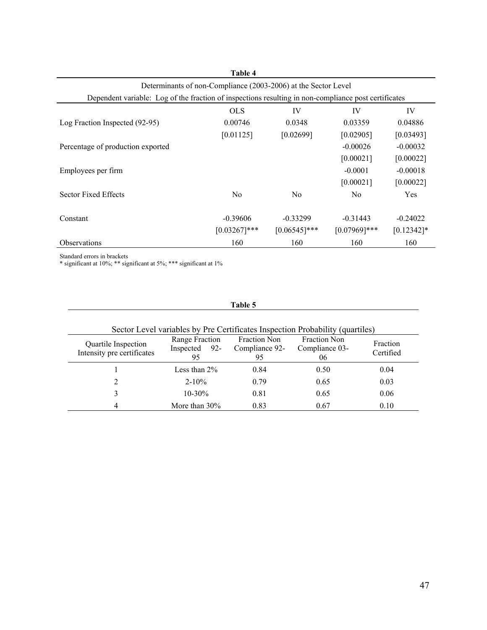| Table 4                                                                                              |                 |                 |                 |               |  |  |
|------------------------------------------------------------------------------------------------------|-----------------|-----------------|-----------------|---------------|--|--|
| Determinants of non-Compliance (2003-2006) at the Sector Level                                       |                 |                 |                 |               |  |  |
| Dependent variable: Log of the fraction of inspections resulting in non-compliance post certificates |                 |                 |                 |               |  |  |
|                                                                                                      | <b>OLS</b>      | IV              | IV              | IV            |  |  |
| Log Fraction Inspected (92-95)                                                                       | 0.00746         | 0.0348          | 0.03359         | 0.04886       |  |  |
|                                                                                                      | [0.01125]       | [0.02699]       | [0.02905]       | [0.03493]     |  |  |
| Percentage of production exported                                                                    |                 |                 | $-0.00026$      | $-0.00032$    |  |  |
|                                                                                                      |                 |                 | [0.00021]       | [0.00022]     |  |  |
| Employees per firm                                                                                   |                 |                 | $-0.0001$       | $-0.00018$    |  |  |
|                                                                                                      |                 |                 | [0.00021]       | [0.00022]     |  |  |
| Sector Fixed Effects                                                                                 | N <sub>0</sub>  | N <sub>0</sub>  | N <sub>0</sub>  | <b>Yes</b>    |  |  |
|                                                                                                      |                 |                 |                 |               |  |  |
| Constant                                                                                             | $-0.39606$      | $-0.33299$      | $-0.31443$      | $-0.24022$    |  |  |
|                                                                                                      | $[0.03267]$ *** | $[0.06545]$ *** | $[0.07969]$ *** | $[0.12342]$ * |  |  |
| <b>Observations</b>                                                                                  | 160             | 160             | 160             | 160           |  |  |

Standard errors in brackets

\* significant at 10%; \*\* significant at 5%; \*\*\* significant at 1%

### **Table 5**

| Sector Level variables by Pre Certificates Inspection Probability (quartiles) |                                             |                                      |                                             |                       |  |  |
|-------------------------------------------------------------------------------|---------------------------------------------|--------------------------------------|---------------------------------------------|-----------------------|--|--|
| Quartile Inspection<br>Intensity pre certificates                             | Range Fraction<br>Inspected<br>$92 -$<br>95 | Fraction Non<br>Compliance 92-<br>95 | <b>Fraction Non</b><br>Compliance 03-<br>06 | Fraction<br>Certified |  |  |
|                                                                               | Less than $2\%$                             | 0.84                                 | 0.50                                        | 0.04                  |  |  |
| 2                                                                             | $2 - 10\%$                                  |                                      | 0.65                                        | 0.03                  |  |  |
| 3                                                                             | $10 - 30\%$                                 | 0.81                                 | 0.65                                        | 0.06                  |  |  |
| 4                                                                             | More than $30\%$                            | 0.83                                 | 0.67                                        | 0.10                  |  |  |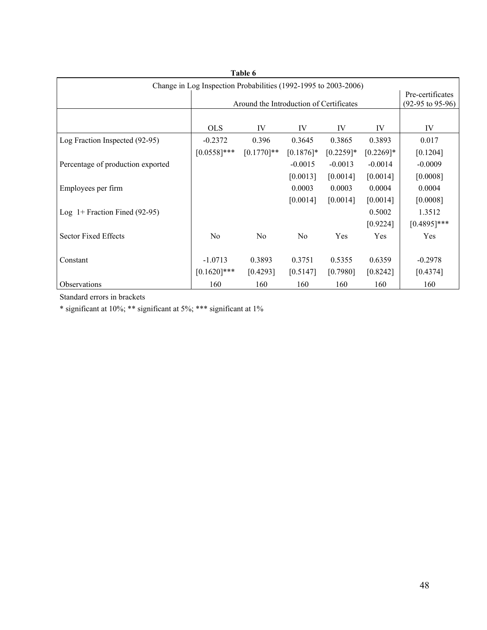| Table 6                                                         |                |                                         |                |              |              |                    |
|-----------------------------------------------------------------|----------------|-----------------------------------------|----------------|--------------|--------------|--------------------|
| Change in Log Inspection Probabilities (1992-1995 to 2003-2006) |                |                                         |                |              |              |                    |
|                                                                 |                |                                         |                |              |              | Pre-certificates   |
|                                                                 |                | Around the Introduction of Certificates |                |              |              | $(92-95$ to 95-96) |
|                                                                 |                |                                         |                |              |              |                    |
|                                                                 | <b>OLS</b>     | IV                                      | IV             | IV           | IV           | IV                 |
| Log Fraction Inspected (92-95)                                  | $-0.2372$      | 0.396                                   | 0.3645         | 0.3865       | 0.3893       | 0.017              |
|                                                                 | $[0.0558]$ *** | $[0.1770]$ **                           | $[0.1876]$ *   | $[0.2259]$ * | $[0.2269]$ * | [0.1204]           |
| Percentage of production exported                               |                |                                         | $-0.0015$      | $-0.0013$    | $-0.0014$    | $-0.0009$          |
|                                                                 |                |                                         | [0.0013]       | [0.0014]     | [0.0014]     | [0.0008]           |
| Employees per firm                                              |                |                                         | 0.0003         | 0.0003       | 0.0004       | 0.0004             |
|                                                                 |                |                                         | [0.0014]       | [0.0014]     | [0.0014]     | [0.0008]           |
| Log $1+$ Fraction Fined (92-95)                                 |                |                                         |                |              | 0.5002       | 1.3512             |
|                                                                 |                |                                         |                |              | [0.9224]     | $[0.4895]$ ***     |
| Sector Fixed Effects                                            | N <sub>o</sub> | N <sub>o</sub>                          | N <sub>o</sub> | Yes          | Yes          | Yes                |
|                                                                 |                |                                         |                |              |              |                    |
| Constant                                                        | $-1.0713$      | 0.3893                                  | 0.3751         | 0.5355       | 0.6359       | $-0.2978$          |
|                                                                 | $[0.1620]$ *** | [0.4293]                                | [0.5147]       | [0.7980]     | [0.8242]     | [0.4374]           |
| Observations                                                    | 160            | 160                                     | 160            | 160          | 160          | 160                |

Standard errors in brackets

 $\hspace{0.1mm}^*$  significant at 10%; \*\*\* significant at 1%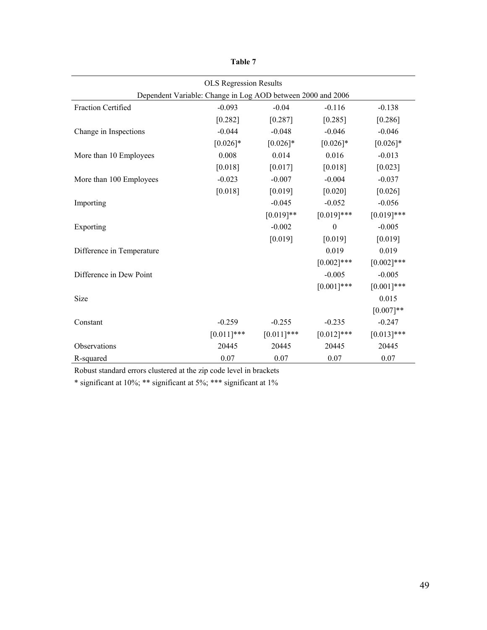|                           | <b>OLS</b> Regression Results                               |               |                  |               |  |  |  |
|---------------------------|-------------------------------------------------------------|---------------|------------------|---------------|--|--|--|
|                           | Dependent Variable: Change in Log AOD between 2000 and 2006 |               |                  |               |  |  |  |
| <b>Fraction Certified</b> | $-0.093$                                                    | $-0.04$       | $-0.116$         | $-0.138$      |  |  |  |
|                           | [0.282]                                                     | [0.287]       | [0.285]          | [0.286]       |  |  |  |
| Change in Inspections     | $-0.044$                                                    | $-0.048$      | $-0.046$         | $-0.046$      |  |  |  |
|                           | $[0.026]$ *                                                 | $[0.026]$ *   | $[0.026]$ *      | $[0.026]$ *   |  |  |  |
| More than 10 Employees    | 0.008                                                       | 0.014         | 0.016            | $-0.013$      |  |  |  |
|                           | [0.018]                                                     | [0.017]       | [0.018]          | [0.023]       |  |  |  |
| More than 100 Employees   | $-0.023$                                                    | $-0.007$      | $-0.004$         | $-0.037$      |  |  |  |
|                           | [0.018]                                                     | [0.019]       | [0.020]          | [0.026]       |  |  |  |
| Importing                 |                                                             | $-0.045$      | $-0.052$         | $-0.056$      |  |  |  |
|                           |                                                             | $[0.019]**$   | $[0.019]$ ***    | $[0.019]$ *** |  |  |  |
| Exporting                 |                                                             | $-0.002$      | $\boldsymbol{0}$ | $-0.005$      |  |  |  |
|                           |                                                             | [0.019]       | [0.019]          | [0.019]       |  |  |  |
| Difference in Temperature |                                                             |               | 0.019            | 0.019         |  |  |  |
|                           |                                                             |               | $[0.002]$ ***    | $[0.002]$ *** |  |  |  |
| Difference in Dew Point   |                                                             |               | $-0.005$         | $-0.005$      |  |  |  |
|                           |                                                             |               | $[0.001]***$     | $[0.001]***$  |  |  |  |
| Size                      |                                                             |               |                  | 0.015         |  |  |  |
|                           |                                                             |               |                  | $[0.007]**$   |  |  |  |
| Constant                  | $-0.259$                                                    | $-0.255$      | $-0.235$         | $-0.247$      |  |  |  |
|                           | $[0.011]$ ***                                               | $[0.011]$ *** | $[0.012]$ ***    | $[0.013]$ *** |  |  |  |
| Observations              | 20445                                                       | 20445         | 20445            | 20445         |  |  |  |
| R-squared                 | 0.07                                                        | 0.07          | 0.07             | 0.07          |  |  |  |

**Table 7** 

 $\hspace{0.1cm}$  \* significant at 10%; \*\*\* significant at 1%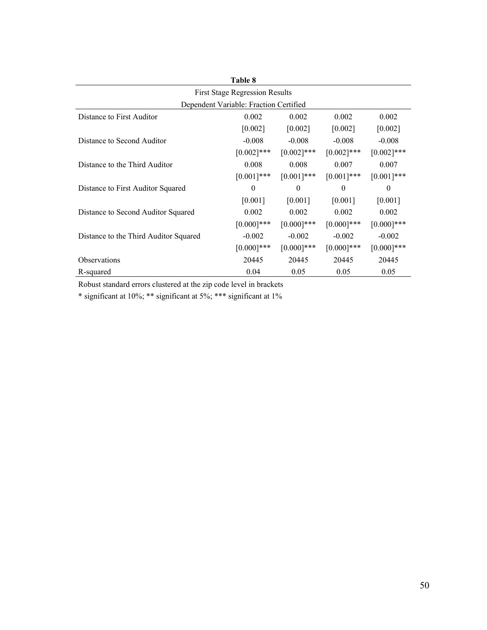| Table 8                                |               |               |               |               |  |
|----------------------------------------|---------------|---------------|---------------|---------------|--|
| <b>First Stage Regression Results</b>  |               |               |               |               |  |
| Dependent Variable: Fraction Certified |               |               |               |               |  |
| Distance to First Auditor              | 0.002         | 0.002         | 0.002         | 0.002         |  |
|                                        | $[0.002]$     | [0.002]       | [0.002]       | [0.002]       |  |
| Distance to Second Auditor             | $-0.008$      | $-0.008$      | $-0.008$      | $-0.008$      |  |
|                                        | $[0.002]$ *** | $[0.002]$ *** | $[0.002]$ *** | $[0.002]$ *** |  |
| Distance to the Third Auditor          | 0.008         | 0.008         | 0.007         | 0.007         |  |
|                                        | $[0.001]$ *** | $[0.001]***$  | $[0.001]$ *** | $[0.001]***$  |  |
| Distance to First Auditor Squared      | $\Omega$      | $\theta$      | $\theta$      | $\theta$      |  |
|                                        | [0.001]       | [0.001]       | [0.001]       | [0.001]       |  |
| Distance to Second Auditor Squared     | 0.002         | 0.002         | 0.002         | 0.002         |  |
|                                        | $[0.000]$ *** | $[0.000]$ *** | $[0.000]$ *** | $[0.000]$ *** |  |
| Distance to the Third Auditor Squared  | $-0.002$      | $-0.002$      | $-0.002$      | $-0.002$      |  |
|                                        | $[0.000]$ *** | $[0.000]$ *** | $[0.000]$ *** | $[0.000]$ *** |  |
| <b>Observations</b>                    | 20445         | 20445         | 20445         | 20445         |  |
| R-squared                              | 0.04          | 0.05          | 0.05          | 0.05          |  |

\* significant at 10%; \*\* significant at 5%; \*\*\* significant at 1%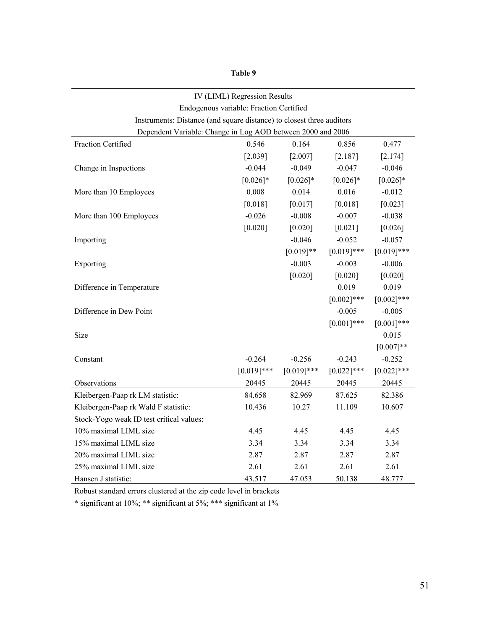| anlı |  |
|------|--|
|------|--|

|                                                                       | IV (LIML) Regression Results            |               |               |               |  |  |
|-----------------------------------------------------------------------|-----------------------------------------|---------------|---------------|---------------|--|--|
|                                                                       | Endogenous variable: Fraction Certified |               |               |               |  |  |
| Instruments: Distance (and square distance) to closest three auditors |                                         |               |               |               |  |  |
| Dependent Variable: Change in Log AOD between 2000 and 2006           |                                         |               |               |               |  |  |
| Fraction Certified                                                    | 0.546                                   | 0.164         | 0.856         | 0.477         |  |  |
|                                                                       | [2.039]                                 | [2.007]       | [2.187]       | [2.174]       |  |  |
| Change in Inspections                                                 | $-0.044$                                | $-0.049$      | $-0.047$      | $-0.046$      |  |  |
|                                                                       | $[0.026]*$                              | $[0.026]$ *   | $[0.026]$ *   | $[0.026]$ *   |  |  |
| More than 10 Employees                                                | 0.008                                   | 0.014         | 0.016         | $-0.012$      |  |  |
|                                                                       | [0.018]                                 | [0.017]       | [0.018]       | [0.023]       |  |  |
| More than 100 Employees                                               | $-0.026$                                | $-0.008$      | $-0.007$      | $-0.038$      |  |  |
|                                                                       | [0.020]                                 | [0.020]       | [0.021]       | [0.026]       |  |  |
| Importing                                                             |                                         | $-0.046$      | $-0.052$      | $-0.057$      |  |  |
|                                                                       |                                         | $[0.019]**$   | $[0.019]$ *** | $[0.019]***$  |  |  |
| Exporting                                                             |                                         | $-0.003$      | $-0.003$      | $-0.006$      |  |  |
|                                                                       |                                         | [0.020]       | [0.020]       | [0.020]       |  |  |
| Difference in Temperature                                             |                                         |               | 0.019         | 0.019         |  |  |
|                                                                       |                                         |               | $[0.002]$ *** | $[0.002]$ *** |  |  |
| Difference in Dew Point                                               |                                         |               | $-0.005$      | $-0.005$      |  |  |
|                                                                       |                                         |               | $[0.001]***$  | $[0.001]$ *** |  |  |
| Size                                                                  |                                         |               |               | 0.015         |  |  |
|                                                                       |                                         |               |               | $[0.007]**$   |  |  |
| Constant                                                              | $-0.264$                                | $-0.256$      | $-0.243$      | $-0.252$      |  |  |
|                                                                       | $[0.019]$ ***                           | $[0.019]$ *** | $[0.022]$ *** | $[0.022]$ *** |  |  |
| Observations                                                          | 20445                                   | 20445         | 20445         | 20445         |  |  |
| Kleibergen-Paap rk LM statistic:                                      | 84.658                                  | 82.969        | 87.625        | 82.386        |  |  |
| Kleibergen-Paap rk Wald F statistic:                                  | 10.436                                  | 10.27         | 11.109        | 10.607        |  |  |
| Stock-Yogo weak ID test critical values:                              |                                         |               |               |               |  |  |
| 10% maximal LIML size                                                 | 4.45                                    | 4.45          | 4.45          | 4.45          |  |  |
| 15% maximal LIML size                                                 | 3.34                                    | 3.34          | 3.34          | 3.34          |  |  |
| 20% maximal LIML size                                                 | 2.87                                    | 2.87          | 2.87          | 2.87          |  |  |
| 25% maximal LIML size                                                 | 2.61                                    | 2.61          | 2.61          | 2.61          |  |  |
| Hansen J statistic:                                                   | 43.517                                  | 47.053        | 50.138        | 48.777        |  |  |

 $\hspace{0.1cm}$  \* significant at 10%; \*\*\* significant at 1%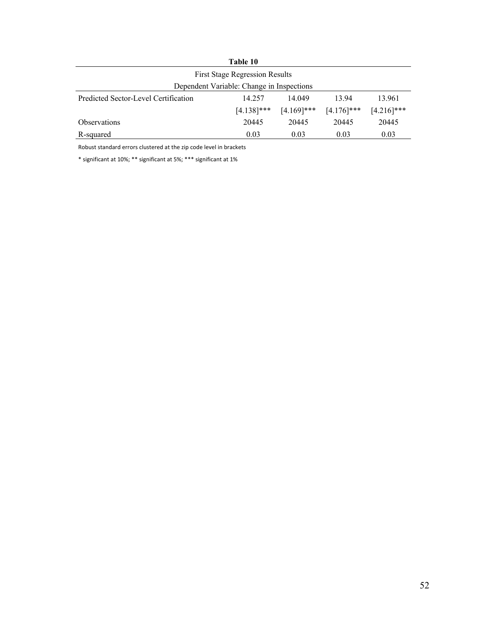| Table 10                                                         |        |        |       |        |  |
|------------------------------------------------------------------|--------|--------|-------|--------|--|
| <b>First Stage Regression Results</b>                            |        |        |       |        |  |
| Dependent Variable: Change in Inspections                        |        |        |       |        |  |
| Predicted Sector-Level Certification                             | 14.257 | 14.049 | 13.94 | 13.961 |  |
| $[4.216]$ ***<br>$[4.138]$ ***<br>$[4.169]$ ***<br>$[4.176]$ *** |        |        |       |        |  |
| <b>Observations</b>                                              | 20445  | 20445  | 20445 | 20445  |  |
| R-squared                                                        | 0.03   | 0.03   | 0.03  | 0.03   |  |

\* significant at 10%; \*\* significant at 5%; \*\*\* significant at 1%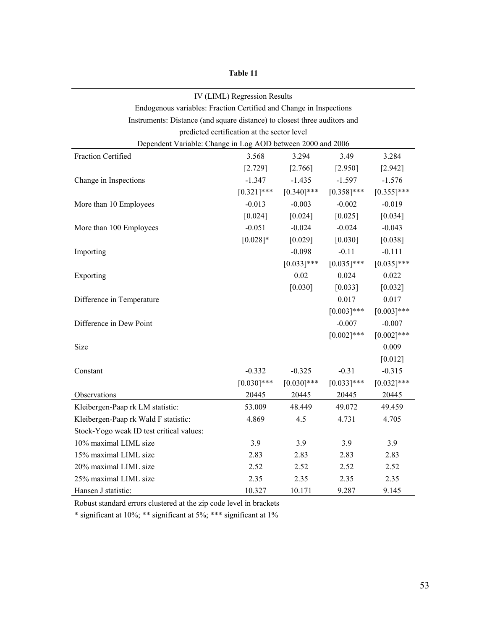| IV (LIML) Regression Results                                              |               |               |               |               |
|---------------------------------------------------------------------------|---------------|---------------|---------------|---------------|
| Endogenous variables: Fraction Certified and Change in Inspections        |               |               |               |               |
| Instruments: Distance (and square distance) to closest three auditors and |               |               |               |               |
| predicted certification at the sector level                               |               |               |               |               |
| Dependent Variable: Change in Log AOD between 2000 and 2006               |               |               |               |               |
| Fraction Certified                                                        | 3.568         | 3.294         | 3.49          | 3.284         |
|                                                                           | [2.729]       | [2.766]       | [2.950]       | [2.942]       |
| Change in Inspections                                                     | $-1.347$      | $-1.435$      | $-1.597$      | $-1.576$      |
|                                                                           | $[0.321]$ *** | $[0.340]$ *** | $[0.358]$ *** | $[0.355]$ *** |
| More than 10 Employees                                                    | $-0.013$      | $-0.003$      | $-0.002$      | $-0.019$      |
|                                                                           | $[0.024]$     | [0.024]       | $[0.025]$     | [0.034]       |
| More than 100 Employees                                                   | $-0.051$      | $-0.024$      | $-0.024$      | $-0.043$      |
|                                                                           | $[0.028]$ *   | [0.029]       | [0.030]       | [0.038]       |
| Importing                                                                 |               | $-0.098$      | $-0.11$       | $-0.111$      |
|                                                                           |               | $[0.033]$ *** | $[0.035]$ *** | $[0.035]$ *** |
| Exporting                                                                 |               | 0.02          | 0.024         | 0.022         |
|                                                                           |               | [0.030]       | [0.033]       | [0.032]       |
| Difference in Temperature                                                 |               |               | 0.017         | 0.017         |
|                                                                           |               |               | $[0.003]$ *** | $[0.003]$ *** |
| Difference in Dew Point                                                   |               |               | $-0.007$      | $-0.007$      |
|                                                                           |               |               | $[0.002]$ *** | $[0.002]$ *** |
| Size                                                                      |               |               |               | 0.009         |
|                                                                           |               |               |               | $[0.012]$     |
| Constant                                                                  | $-0.332$      | $-0.325$      | $-0.31$       | $-0.315$      |
|                                                                           | $[0.030]$ *** | $[0.030]$ *** | $[0.033]$ *** | $[0.032]$ *** |
| Observations                                                              | 20445         | 20445         | 20445         | 20445         |
| Kleibergen-Paap rk LM statistic:                                          | 53.009        | 48.449        | 49.072        | 49.459        |
| Kleibergen-Paap rk Wald F statistic:                                      | 4.869         | 4.5           | 4.731         | 4.705         |
| Stock-Yogo weak ID test critical values:                                  |               |               |               |               |
| 10% maximal LIML size                                                     | 3.9           | 3.9           | 3.9           | 3.9           |
| 15% maximal LIML size                                                     | 2.83          | 2.83          | 2.83          | 2.83          |
| 20% maximal LIML size                                                     | 2.52          | 2.52          | 2.52          | 2.52          |
| 25% maximal LIML size                                                     | 2.35          | 2.35          | 2.35          | 2.35          |
| Hansen J statistic:                                                       | 10.327        | 10.171        | 9.287         | 9.145         |

**Table 11** 

Robust standard errors clustered at the zip code level in brackets

 $\hspace{0.1mm}^*$  significant at 10%;  $\hspace{0.1mm}^{**}$  significant at 1%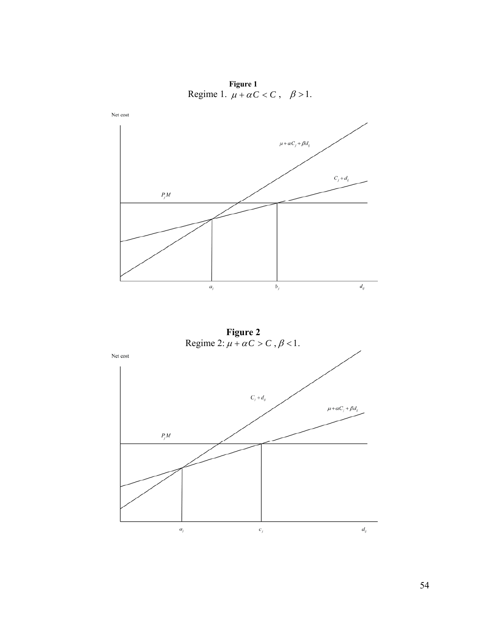**Figure 1**  Regime 1.  $\mu + \alpha C < C$ ,  $\beta > 1$ .



**Figure 2** Regime 2:  $\mu + \alpha C > C$ ,  $\beta < 1$ .

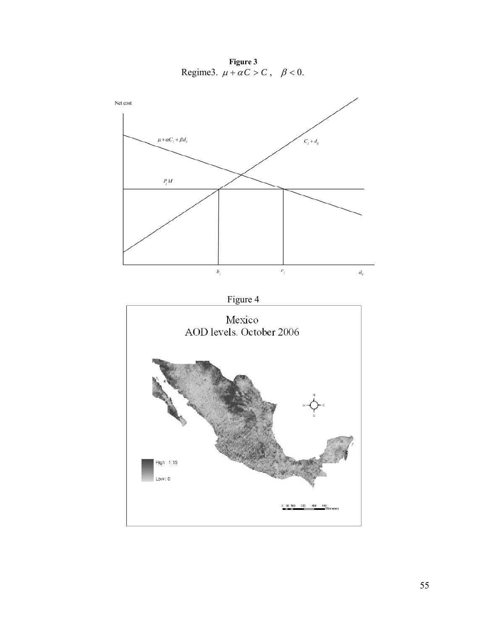**Figure 3**  Regime3.  $\mu + \alpha C > C$ ,  $\beta < 0$ .

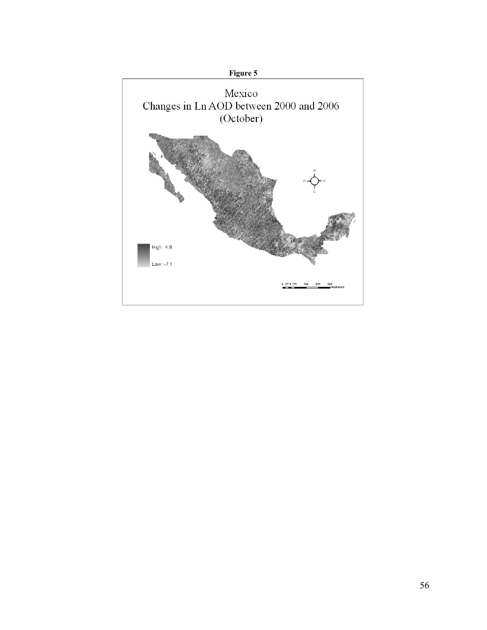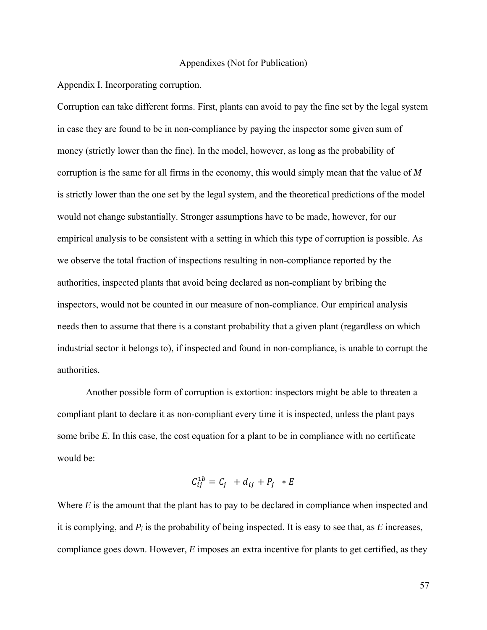## Appendixes (Not for Publication)

Appendix I. Incorporating corruption.

Corruption can take different forms. First, plants can avoid to pay the fine set by the legal system in case they are found to be in non-compliance by paying the inspector some given sum of money (strictly lower than the fine). In the model, however, as long as the probability of corruption is the same for all firms in the economy, this would simply mean that the value of *M* is strictly lower than the one set by the legal system, and the theoretical predictions of the model would not change substantially. Stronger assumptions have to be made, however, for our empirical analysis to be consistent with a setting in which this type of corruption is possible. As we observe the total fraction of inspections resulting in non-compliance reported by the authorities, inspected plants that avoid being declared as non-compliant by bribing the inspectors, would not be counted in our measure of non-compliance. Our empirical analysis needs then to assume that there is a constant probability that a given plant (regardless on which industrial sector it belongs to), if inspected and found in non-compliance, is unable to corrupt the authorities.

 Another possible form of corruption is extortion: inspectors might be able to threaten a compliant plant to declare it as non-compliant every time it is inspected, unless the plant pays some bribe *E*. In this case, the cost equation for a plant to be in compliance with no certificate would be:

$$
C_{ij}^{1b} = C_j + d_{ij} + P_j * E
$$

Where *E* is the amount that the plant has to pay to be declared in compliance when inspected and it is complying, and *Pj* is the probability of being inspected. It is easy to see that, as *E* increases, compliance goes down. However, *E* imposes an extra incentive for plants to get certified, as they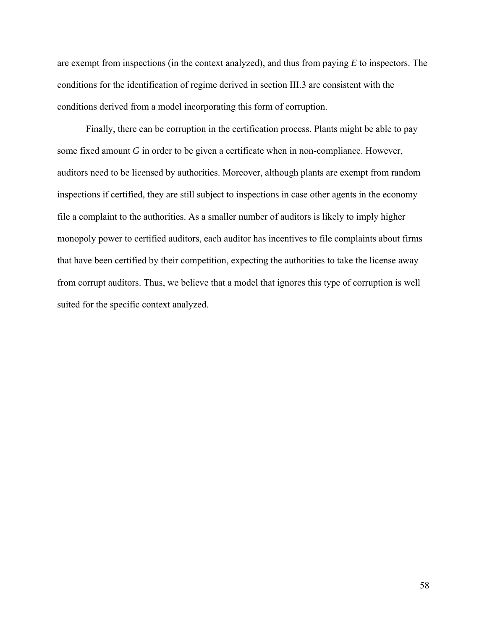are exempt from inspections (in the context analyzed), and thus from paying *E* to inspectors. The conditions for the identification of regime derived in section III.3 are consistent with the conditions derived from a model incorporating this form of corruption.

 Finally, there can be corruption in the certification process. Plants might be able to pay some fixed amount *G* in order to be given a certificate when in non-compliance. However, auditors need to be licensed by authorities. Moreover, although plants are exempt from random inspections if certified, they are still subject to inspections in case other agents in the economy file a complaint to the authorities. As a smaller number of auditors is likely to imply higher monopoly power to certified auditors, each auditor has incentives to file complaints about firms that have been certified by their competition, expecting the authorities to take the license away from corrupt auditors. Thus, we believe that a model that ignores this type of corruption is well suited for the specific context analyzed.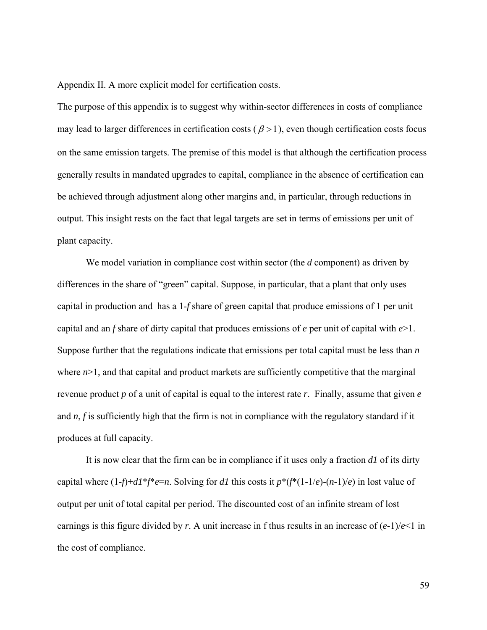Appendix II. A more explicit model for certification costs.

The purpose of this appendix is to suggest why within-sector differences in costs of compliance may lead to larger differences in certification costs ( $\beta$  > 1), even though certification costs focus on the same emission targets. The premise of this model is that although the certification process generally results in mandated upgrades to capital, compliance in the absence of certification can be achieved through adjustment along other margins and, in particular, through reductions in output. This insight rests on the fact that legal targets are set in terms of emissions per unit of plant capacity.

We model variation in compliance cost within sector (the *d* component) as driven by differences in the share of "green" capital. Suppose, in particular, that a plant that only uses capital in production and has a 1-*f* share of green capital that produce emissions of 1 per unit capital and an *f* share of dirty capital that produces emissions of *e* per unit of capital with *e*>1. Suppose further that the regulations indicate that emissions per total capital must be less than *n* where  $n > 1$ , and that capital and product markets are sufficiently competitive that the marginal revenue product *p* of a unit of capital is equal to the interest rate *r*. Finally, assume that given *e* and *n*, *f* is sufficiently high that the firm is not in compliance with the regulatory standard if it produces at full capacity.

It is now clear that the firm can be in compliance if it uses only a fraction *d1* of its dirty capital where  $(1-f)+dI^*f^*e=n$ . Solving for *d1* this costs it  $p^*(f^*(1-1/e)-(n-1)/e)$  in lost value of output per unit of total capital per period. The discounted cost of an infinite stream of lost earnings is this figure divided by *r*. A unit increase in f thus results in an increase of  $(e-1)/e<1$  in the cost of compliance.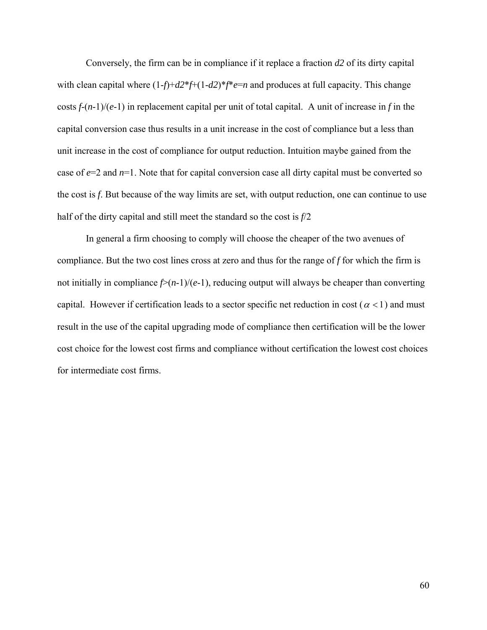Conversely, the firm can be in compliance if it replace a fraction *d2* of its dirty capital with clean capital where (1-*f*)+*d2*\**f*+(1-*d2*)\**f*\**e*=*n* and produces at full capacity. This change costs *f*-(*n*-1)/(*e*-1) in replacement capital per unit of total capital. A unit of increase in *f* in the capital conversion case thus results in a unit increase in the cost of compliance but a less than unit increase in the cost of compliance for output reduction. Intuition maybe gained from the case of *e*=2 and *n*=1. Note that for capital conversion case all dirty capital must be converted so the cost is *f*. But because of the way limits are set, with output reduction, one can continue to use half of the dirty capital and still meet the standard so the cost is *f*/2

In general a firm choosing to comply will choose the cheaper of the two avenues of compliance. But the two cost lines cross at zero and thus for the range of *f* for which the firm is not initially in compliance *f*>(*n*-1)/(*e*-1), reducing output will always be cheaper than converting capital. However if certification leads to a sector specific net reduction in cost ( $\alpha$  < 1) and must result in the use of the capital upgrading mode of compliance then certification will be the lower cost choice for the lowest cost firms and compliance without certification the lowest cost choices for intermediate cost firms.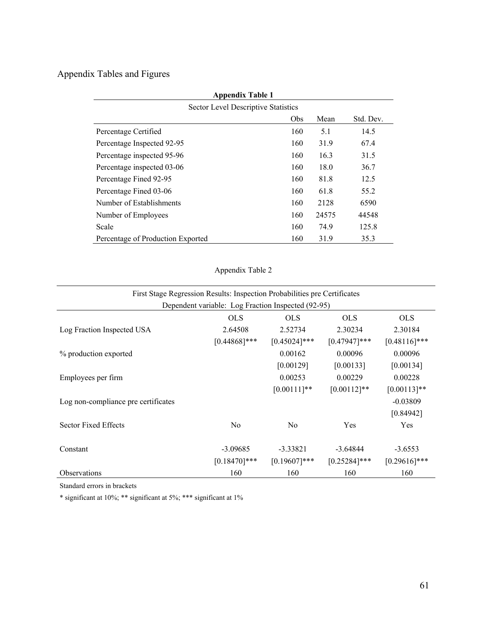# Appendix Tables and Figures

| <b>Appendix Table 1</b>             |     |       |           |  |  |  |
|-------------------------------------|-----|-------|-----------|--|--|--|
| Sector Level Descriptive Statistics |     |       |           |  |  |  |
|                                     | Obs | Mean  | Std. Dev. |  |  |  |
| Percentage Certified                | 160 | 5.1   | 14.5      |  |  |  |
| Percentage Inspected 92-95          | 160 | 31.9  | 67.4      |  |  |  |
| Percentage inspected 95-96          | 160 | 16.3  | 31.5      |  |  |  |
| Percentage inspected 03-06          | 160 | 18.0  | 36.7      |  |  |  |
| Percentage Fined 92-95              | 160 | 81.8  | 12.5      |  |  |  |
| Percentage Fined 03-06              | 160 | 61.8  | 55.2      |  |  |  |
| Number of Establishments            | 160 | 2128  | 6590      |  |  |  |
| Number of Employees                 | 160 | 24575 | 44548     |  |  |  |
| Scale                               | 160 | 74.9  | 125.8     |  |  |  |
| Percentage of Production Exported   | 160 | 31.9  | 35.3      |  |  |  |

Appendix Table 2

| First Stage Regression Results: Inspection Probabilities pre Certificates |                 |                 |                 |                 |  |  |  |
|---------------------------------------------------------------------------|-----------------|-----------------|-----------------|-----------------|--|--|--|
| Dependent variable: Log Fraction Inspected (92-95)                        |                 |                 |                 |                 |  |  |  |
|                                                                           | <b>OLS</b>      | <b>OLS</b>      | <b>OLS</b>      | <b>OLS</b>      |  |  |  |
| Log Fraction Inspected USA                                                | 2.64508         | 2.52734         | 2.30234         | 2.30184         |  |  |  |
|                                                                           | $[0.44868]$ *** | $[0.45024]$ *** | $[0.47947]***$  | $[0.48116]$ *** |  |  |  |
| % production exported                                                     |                 | 0.00162         | 0.00096         | 0.00096         |  |  |  |
|                                                                           |                 | [0.00129]       | [0.00133]       | [0.00134]       |  |  |  |
| Employees per firm                                                        |                 | 0.00253         | 0.00229         | 0.00228         |  |  |  |
|                                                                           |                 | $[0.00111]$ **  | $[0.00112]$ **  | $[0.00113]*$    |  |  |  |
| Log non-compliance pre certificates                                       |                 |                 |                 | $-0.03809$      |  |  |  |
|                                                                           |                 |                 |                 | [0.84942]       |  |  |  |
| Sector Fixed Effects                                                      | N <sub>o</sub>  | N <sub>o</sub>  | Yes             | Yes             |  |  |  |
| Constant                                                                  | $-3.09685$      | $-3.33821$      | $-3.64844$      | $-3.6553$       |  |  |  |
|                                                                           | $[0.18470]$ *** | $[0.19607]***$  | $[0.25284]$ *** | $[0.29616]$ *** |  |  |  |
| <b>Observations</b>                                                       | 160             | 160             | 160             | 160             |  |  |  |

Standard errors in brackets

\* significant at 10%; \*\* significant at 5%; \*\*\* significant at 1%